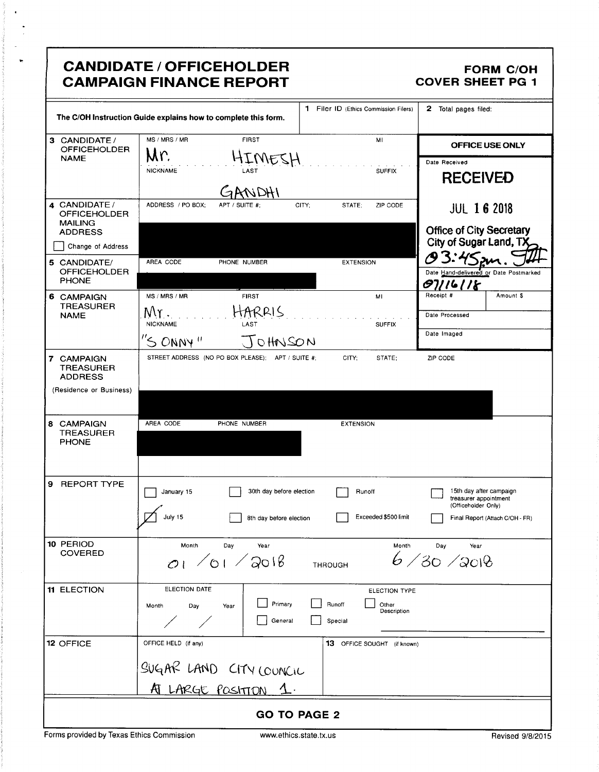|                                                                             | <b>CANDIDATE / OFFICEHOLDER</b><br><b>CAMPAIGN FINANCE REPORT</b>            |                                                            | <b>FORM C/OH</b><br><b>COVER SHEET PG 1</b>                                                                |
|-----------------------------------------------------------------------------|------------------------------------------------------------------------------|------------------------------------------------------------|------------------------------------------------------------------------------------------------------------|
|                                                                             | The C/OH Instruction Guide explains how to complete this form.               | 1 Filer ID (Ethics Commission Filers)                      | 2 Total pages filed:                                                                                       |
| 3 CANDIDATE /<br><b>OFFICEHOLDER</b>                                        | MS / MRS / MR<br><b>FIRST</b><br>Mr.                                         | MI                                                         | OFFICE USE ONLY                                                                                            |
| <b>NAME</b>                                                                 | HIMESH<br><b>NICKNAME</b><br>LAST                                            | <b>SUFFIX</b>                                              | Date Received<br><b>RECEIVED</b>                                                                           |
| 4 CANDIDATE /<br><b>OFFICEHOLDER</b><br><b>MAILING</b><br><b>ADDRESS</b>    | ADDRESS / PO BOX:<br>APT / SUITE #:                                          | CITY:<br>STATE;<br>ZIP CODE                                | <b>JUL 16 2018</b><br><b>Office of City Secretary</b>                                                      |
| Change of Address                                                           |                                                                              |                                                            | City of Sugar Land, TX                                                                                     |
| 5 CANDIDATE/<br><b>OFFICEHOLDER</b><br><b>PHONE</b>                         | AREA CODE<br>PHONE NUMBER                                                    | <b>EXTENSION</b>                                           | O 3:45sm<br>Date Hand-delivered or Date Postmarked<br>07116118                                             |
| 6 CAMPAIGN                                                                  | MS / MRS / MR<br><b>FIRST</b>                                                | MI                                                         | Receipt #<br>Amount \$                                                                                     |
| <b>TREASURER</b><br><b>NAME</b>                                             | ARRIS                                                                        |                                                            | Date Processed                                                                                             |
|                                                                             | <b>NICKNAME</b><br>LAST<br>$"S$ ONNY"<br>JOHNSON                             | <b>SUFFIX</b>                                              | Date Imaged                                                                                                |
| 7 CAMPAIGN<br><b>TREASURER</b><br><b>ADDRESS</b><br>(Residence or Business) | STREET ADDRESS (NO PO BOX PLEASE); APT / SUITE #;                            | CITY;<br>STATE:                                            | ZIP CODE                                                                                                   |
| 8 CAMPAIGN<br><b>TREASURER</b><br><b>PHONE</b>                              | AREA CODE<br>PHONE NUMBER                                                    | <b>EXTENSION</b>                                           |                                                                                                            |
| 9 REPORT TYPE                                                               | 30th day before election<br>January 15<br>July 15<br>8th day before election | $\overline{\phantom{0}}$<br>Runoff<br>Exceeded \$500 limit | 15th day after campaign<br>treasurer appointment<br>(Officeholder Only)<br>Final Report (Attach C/OH - FR) |
| 10 PERIOD<br><b>COVERED</b>                                                 | Month<br>Day<br>Year<br>0.70172018                                           | Month<br><b>THROUGH</b>                                    | Day<br>Year<br>6/30/3018                                                                                   |
| 11 ELECTION                                                                 | ELECTION DATE<br>Primary<br>Day<br>Month<br>Year<br>General                  | ELECTION TYPE<br>Runoff<br>Other<br>Description<br>Special |                                                                                                            |
| 12 OFFICE                                                                   | OFFICE HELD (if any)<br>SUGAR LAND CITY COUNCIL                              | <b>13</b> OFFICE SOUGHT (if known)                         |                                                                                                            |
|                                                                             | AT LARGE POSITION 1.                                                         |                                                            |                                                                                                            |
| <b>GO TO PAGE 2</b>                                                         |                                                                              |                                                            |                                                                                                            |

 $\bullet$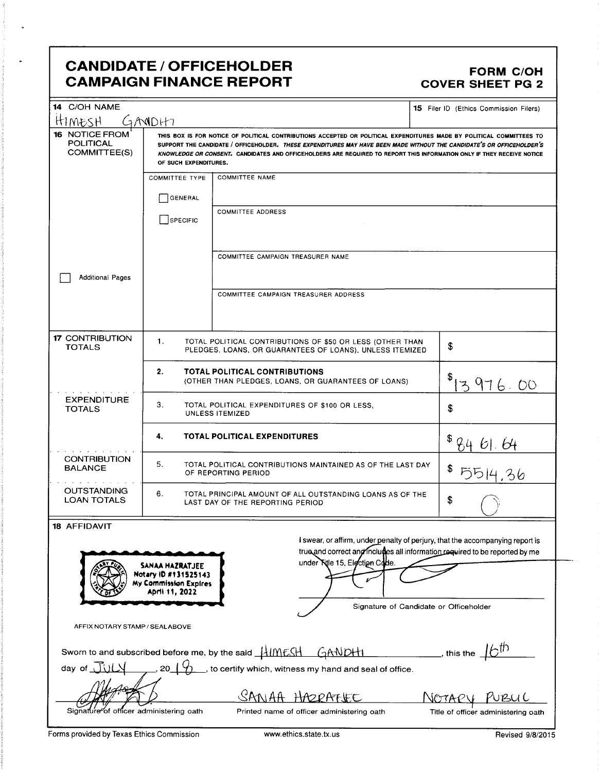# **CANDIDATE / OFFICEHOLDER CAMPAIGN FINANCE REPORT**

#### **FORM C/OH COVER SHEET PG 2**

| 14 C/OH NAME<br><u>HIMESH</u>                                                                                                                                 | <b>15</b> Filer ID (Ethics Commission Filers)<br>GANIDHI                                                                                                                                                                                                                                                                                                                                         |                                                                                      |                                     |  |  |
|---------------------------------------------------------------------------------------------------------------------------------------------------------------|--------------------------------------------------------------------------------------------------------------------------------------------------------------------------------------------------------------------------------------------------------------------------------------------------------------------------------------------------------------------------------------------------|--------------------------------------------------------------------------------------|-------------------------------------|--|--|
| 16 NOTICE FROM<br><b>POLITICAL</b><br>COMMITTEE(S)                                                                                                            | THIS BOX IS FOR NOTICE OF POLITICAL CONTRIBUTIONS ACCEPTED OR POLITICAL EXPENDITURES MADE BY POLITICAL COMMITTEES TO<br>SUPPORT THE CANDIDATE / OFFICEHOLDER. THESE EXPENDITURES MAY HAVE BEEN MADE WITHOUT THE CANDIDATE'S OR OFFICEHOLDER'S<br>KNOWLEDGE OR CONSENT. CANDIDATES AND OFFICEHOLDERS ARE REQUIRED TO REPORT THIS INFORMATION ONLY IF THEY RECEIVE NOTICE<br>OF SUCH EXPENDITURES. |                                                                                      |                                     |  |  |
|                                                                                                                                                               | <b>COMMITTEE TYPE</b>                                                                                                                                                                                                                                                                                                                                                                            | <b>COMMITTEE NAME</b>                                                                |                                     |  |  |
|                                                                                                                                                               | GENERAL                                                                                                                                                                                                                                                                                                                                                                                          |                                                                                      |                                     |  |  |
|                                                                                                                                                               | SPECIFIC                                                                                                                                                                                                                                                                                                                                                                                         | <b>COMMITTEE ADDRESS</b>                                                             |                                     |  |  |
|                                                                                                                                                               |                                                                                                                                                                                                                                                                                                                                                                                                  |                                                                                      |                                     |  |  |
|                                                                                                                                                               |                                                                                                                                                                                                                                                                                                                                                                                                  | COMMITTEE CAMPAIGN TREASURER NAME                                                    |                                     |  |  |
| <b>Additional Pages</b>                                                                                                                                       |                                                                                                                                                                                                                                                                                                                                                                                                  |                                                                                      |                                     |  |  |
|                                                                                                                                                               |                                                                                                                                                                                                                                                                                                                                                                                                  | COMMITTEE CAMPAIGN TREASURER ADDRESS                                                 |                                     |  |  |
| <b>17 CONTRIBUTION</b>                                                                                                                                        | 1.                                                                                                                                                                                                                                                                                                                                                                                               | TOTAL POLITICAL CONTRIBUTIONS OF \$50 OR LESS (OTHER THAN                            |                                     |  |  |
| <b>TOTALS</b>                                                                                                                                                 |                                                                                                                                                                                                                                                                                                                                                                                                  | PLEDGES, LOANS, OR GUARANTEES OF LOANS), UNLESS ITEMIZED                             | \$                                  |  |  |
|                                                                                                                                                               | 2.                                                                                                                                                                                                                                                                                                                                                                                               | TOTAL POLITICAL CONTRIBUTIONS<br>(OTHER THAN PLEDGES, LOANS, OR GUARANTEES OF LOANS) | 976.00<br>ュ                         |  |  |
| <b>EXPENDITURE</b><br><b>TOTALS</b>                                                                                                                           | 3.<br>TOTAL POLITICAL EXPENDITURES OF \$100 OR LESS,<br>\$<br>UNLESS ITEMIZED                                                                                                                                                                                                                                                                                                                    |                                                                                      |                                     |  |  |
|                                                                                                                                                               | <b>TOTAL POLITICAL EXPENDITURES</b><br>4.<br>-61. 64                                                                                                                                                                                                                                                                                                                                             |                                                                                      |                                     |  |  |
| <b>CONTRIBUTION</b><br><b>BALANCE</b>                                                                                                                         | 5.<br>TOTAL POLITICAL CONTRIBUTIONS MAINTAINED AS OF THE LAST DAY<br>5514.36<br>OF REPORTING PERIOD                                                                                                                                                                                                                                                                                              |                                                                                      |                                     |  |  |
| <b>OUTSTANDING</b><br><b>LOAN TOTALS</b>                                                                                                                      | 6.<br>TOTAL PRINCIPAL AMOUNT OF ALL OUTSTANDING LOANS AS OF THE<br>\$<br>LAST DAY OF THE REPORTING PERIOD                                                                                                                                                                                                                                                                                        |                                                                                      |                                     |  |  |
| <b>18 AFFIDAVIT</b>                                                                                                                                           |                                                                                                                                                                                                                                                                                                                                                                                                  |                                                                                      |                                     |  |  |
| I swear, or affirm, under penalty of perjury, that the accompanying report is<br>true and correct and includies all information required to be reported by me |                                                                                                                                                                                                                                                                                                                                                                                                  |                                                                                      |                                     |  |  |
| under Title 15, Eigctign Code.<br>SANAA HAZRATJEE<br>Notary ID #131525143<br><b>My Commission Expires</b><br>April 11, 2022                                   |                                                                                                                                                                                                                                                                                                                                                                                                  |                                                                                      |                                     |  |  |
| Signature of Candidate or Officeholder                                                                                                                        |                                                                                                                                                                                                                                                                                                                                                                                                  |                                                                                      |                                     |  |  |
| AFFIX NOTARY STAMP / SEALABOVE                                                                                                                                |                                                                                                                                                                                                                                                                                                                                                                                                  |                                                                                      |                                     |  |  |
| whis the $\pm 6^{th}$<br>Sworn to and subscribed before me, by the said HIMESH GANDH                                                                          |                                                                                                                                                                                                                                                                                                                                                                                                  |                                                                                      |                                     |  |  |
| day of $\overline{J}(1)$                                                                                                                                      | 20                                                                                                                                                                                                                                                                                                                                                                                               | sto certify which, witness my hand and seal of office.                               |                                     |  |  |
|                                                                                                                                                               | $\mathcal{S}$ ANIAA<br>HAODATHE<br>NGTAP<br>uru L                                                                                                                                                                                                                                                                                                                                                |                                                                                      |                                     |  |  |
| Signature of                                                                                                                                                  | officer administering oath                                                                                                                                                                                                                                                                                                                                                                       | Printed name of officer administering oath                                           | Title of officer administering oath |  |  |

Forms provided by Texas Ethics Commission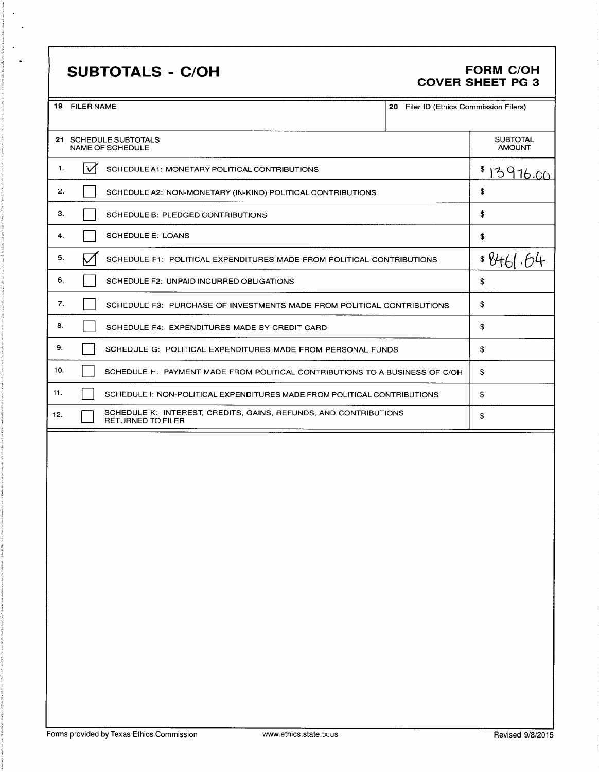# **SUBTOTALS - C/OH**

#### **FORM C/OH COVER SHEET PG 3**

20 Filer ID (Ethics Commission Filers)

| 19 | <b>FILER NAME</b> |                                                  |
|----|-------------------|--------------------------------------------------|
|    |                   |                                                  |
|    |                   | 21 SCHEDULE SUBTOTALS<br><b>NAME OF SCHEDULE</b> |
|    |                   | SCHEDULE A1: MONETARY POLITIC/                   |

 $2.$ 

 $3.$ 

 $\overline{\mathbf{4}}$ .

 $5.$ 

 $6.$ 

 $\overline{7}$ .

 $\bf{8}$ .

 $\mathbf{9}.$ 

 $10.$ 

 $11.$ 

 $12.$ 

|     | CHEDULE SUBTOTALS<br>AME OF SCHEDULE                                                         | <b>SUBTOTAL</b><br><b>AMOUNT</b> |
|-----|----------------------------------------------------------------------------------------------|----------------------------------|
| lv1 | SCHEDULE A1: MONETARY POLITICAL CONTRIBUTIONS                                                | \$13916.00                       |
|     | SCHEDULE A2: NON-MONETARY (IN-KIND) POLITICAL CONTRIBUTIONS                                  | \$                               |
|     | SCHEDULE B: PLEDGED CONTRIBUTIONS                                                            | \$                               |
|     | <b>SCHEDULE E: LOANS</b>                                                                     | \$                               |
|     | SCHEDULE F1: POLITICAL EXPENDITURES MADE FROM POLITICAL CONTRIBUTIONS                        | \$84                             |
|     | SCHEDULE F2: UNPAID INCURRED OBLIGATIONS                                                     | \$                               |
|     | SCHEDULE F3: PURCHASE OF INVESTMENTS MADE FROM POLITICAL CONTRIBUTIONS                       | \$                               |
|     | SCHEDULE F4: EXPENDITURES MADE BY CREDIT CARD                                                | \$                               |
|     | SCHEDULE G: POLITICAL EXPENDITURES MADE FROM PERSONAL FUNDS                                  | \$                               |
|     | SCHEDULE H: PAYMENT MADE FROM POLITICAL CONTRIBUTIONS TO A BUSINESS OF C/OH                  | \$                               |
|     | SCHEDULE I: NON-POLITICAL EXPENDITURES MADE FROM POLITICAL CONTRIBUTIONS                     | \$                               |
|     | SCHEDULE K: INTEREST, CREDITS, GAINS, REFUNDS, AND CONTRIBUTIONS<br><b>RETURNED TO FILER</b> | \$                               |
|     |                                                                                              |                                  |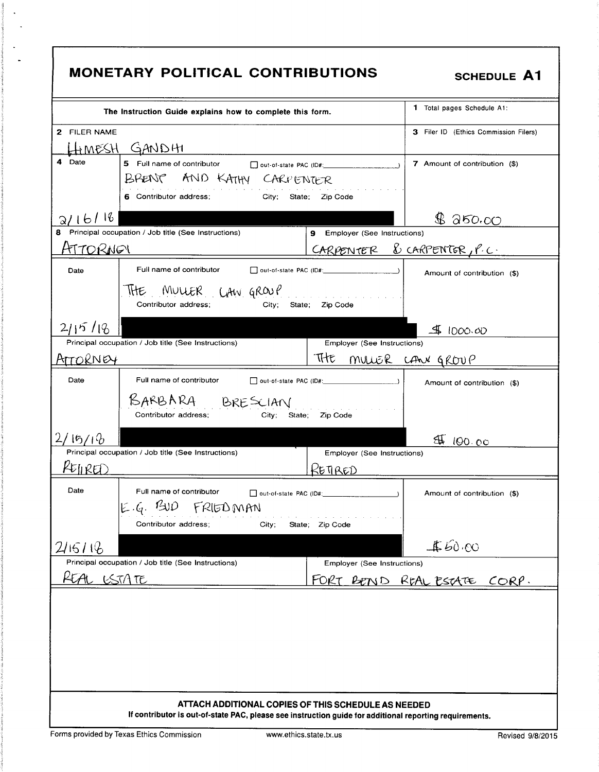| <b>MONETARY POLITICAL CONTRIBUTIONS</b><br><b>SCHEDULE A1</b>                                                                                                  |                                                                                                                                       |                               |                                       |  |
|----------------------------------------------------------------------------------------------------------------------------------------------------------------|---------------------------------------------------------------------------------------------------------------------------------------|-------------------------------|---------------------------------------|--|
|                                                                                                                                                                | The Instruction Guide explains how to complete this form.                                                                             |                               | 1 Total pages Schedule A1:            |  |
| 2 FILER NAME                                                                                                                                                   | HEMESH GANDHI                                                                                                                         |                               | 3 Filer ID (Ethics Commission Filers) |  |
| 4 Date                                                                                                                                                         | 5 Full name of contributor and out-of-state PAC (ID#:<br>BRENT AND KATHY CARPENTER<br>6 Contributor address;<br>City; State; Zip Code |                               | 7 Amount of contribution (\$)         |  |
| 2/16/16                                                                                                                                                        |                                                                                                                                       |                               | \$350.00                              |  |
|                                                                                                                                                                | Principal occupation / Job title (See Instructions)                                                                                   | 9 Employer (See Instructions) |                                       |  |
| <u>HTTORNOI</u>                                                                                                                                                |                                                                                                                                       | CARPENTER & CARPENTER, P.C.   |                                       |  |
| Date                                                                                                                                                           | Full name of contributor                                                                                                              |                               | Amount of contribution (\$)           |  |
|                                                                                                                                                                | MULLER LAW GROUP<br>THE<br>Contributor address;<br>City;<br>State;                                                                    | .<br>Zip Code                 |                                       |  |
| 2115/18                                                                                                                                                        |                                                                                                                                       |                               | 41000.00                              |  |
|                                                                                                                                                                | Principal occupation / Job title (See Instructions)                                                                                   | Employer (See Instructions)   |                                       |  |
| ATTORNEY                                                                                                                                                       |                                                                                                                                       | THE                           | MULLER CAN GROUP                      |  |
| Date                                                                                                                                                           | Full name of contributor                                                                                                              |                               | Amount of contribution (\$)           |  |
|                                                                                                                                                                | BARBARA BRESCIAN<br>Contributor address;<br>City;<br>State;                                                                           | Zip Code                      |                                       |  |
| 15/16                                                                                                                                                          |                                                                                                                                       |                               | ₩<br>100.00                           |  |
|                                                                                                                                                                | Principal occupation / Job title (See Instructions)                                                                                   | Employer (See Instructions)   |                                       |  |
| KEINRED                                                                                                                                                        |                                                                                                                                       | RETIRED                       |                                       |  |
| Date                                                                                                                                                           | Full name of contributor<br>$E.6.$ $B$ UD<br>FRIEDMAN<br>Contributor address;<br>City;                                                | State; Zip Code               | Amount of contribution (\$)           |  |
| 2115/16                                                                                                                                                        |                                                                                                                                       |                               | 460.00                                |  |
|                                                                                                                                                                | Principal occupation / Job title (See Instructions)                                                                                   | Employer (See Instructions)   |                                       |  |
| REAL ESTATE                                                                                                                                                    |                                                                                                                                       | FORT                          | BEND REAL ESTATE CORP.                |  |
|                                                                                                                                                                |                                                                                                                                       |                               |                                       |  |
| ATTACH ADDITIONAL COPIES OF THIS SCHEDULE AS NEEDED<br>If contributor is out-of-state PAC, please see instruction guide for additional reporting requirements. |                                                                                                                                       |                               |                                       |  |

 $\bar{\mathcal{L}}$  $\bar{z}$ 

 $\mathbb{Z}^2$  $\ddot{\phantom{1}}$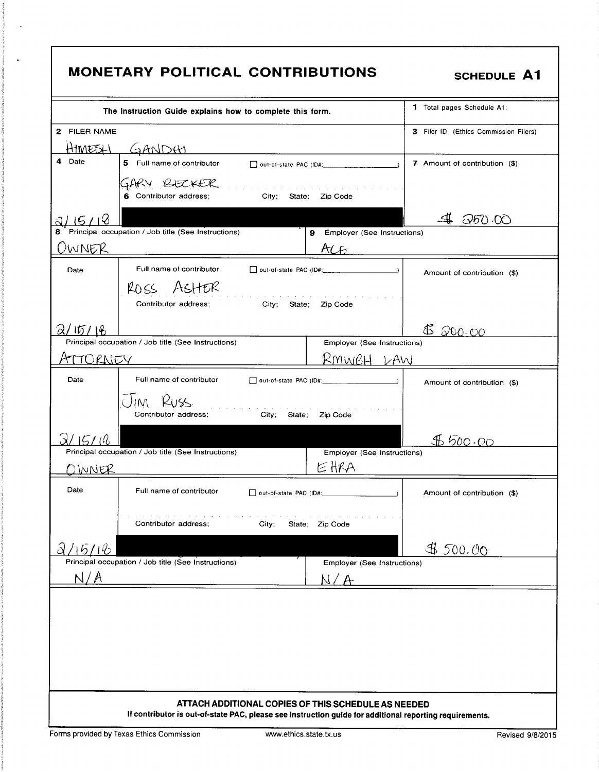|                         | MONETARY POLITICAL CONTRIBUTIONS                                                                                                | <b>SCHEDULE A1</b>                    |
|-------------------------|---------------------------------------------------------------------------------------------------------------------------------|---------------------------------------|
|                         | The Instruction Guide explains how to complete this form.                                                                       | <b>1</b> Total pages Schedule A1:     |
| 2 FILER NAME<br>HIMESLI | GANDAI                                                                                                                          | 3 Filer ID (Ethics Commission Filers) |
| 4<br>Date               | 5 Full name of contributor                                                                                                      | 7 Amount of contribution (\$)         |
|                         | GARY BECKER<br>a construction of the construction of the construction of the<br>City; State; Zip Code<br>6 Contributor address; |                                       |
|                         |                                                                                                                                 | Q50.00                                |
| 8<br>OWNER              | Principal occupation / Job title (See Instructions)<br>ACE                                                                      | 9 Employer (See Instructions)         |
| Date                    | Full name of contributor                                                                                                        | Amount of contribution (\$)           |
|                         | ROSS ASHER<br>a carracter and a carracter and a carracter<br>Contributor address;<br>City;<br>Zip Code<br>State;                |                                       |
| 2/15/18                 |                                                                                                                                 | €<br>200.00                           |
|                         | Principal occupation / Job title (See Instructions)                                                                             | Employer (See Instructions)           |
| ATTORNEY                |                                                                                                                                 | <u>RMWBH LAW</u>                      |
| Date                    | Full name of contributor                                                                                                        | Amount of contribution (\$)           |
|                         | IM RUSS<br>Contributor address;<br>City;<br>Zip Code<br>State:                                                                  |                                       |
| 15/16                   |                                                                                                                                 | \$600.00                              |
| ) INNER                 | Principal occupation / Job title (See Instructions)<br>EHRA                                                                     | Employer (See Instructions)           |
| Date                    | Full name of contributor<br>out-of-state PAC (ID#:                                                                              | Amount of contribution (\$)           |
|                         | Contributor address;<br>State; Zip Code<br>City;                                                                                |                                       |
| $\partial$<br>15/16     |                                                                                                                                 | 4500.00                               |
|                         | Principal occupation / Job title (See Instructions)                                                                             | Employer (See Instructions)           |
| N/A                     |                                                                                                                                 |                                       |
|                         |                                                                                                                                 |                                       |
|                         |                                                                                                                                 |                                       |
|                         |                                                                                                                                 |                                       |
|                         |                                                                                                                                 |                                       |
|                         |                                                                                                                                 |                                       |
|                         | ATTACH ADDITIONAL COPIES OF THIS SCHEDULE AS NEEDED                                                                             |                                       |
|                         | If contributor is out-of-state PAC, please see instruction guide for additional reporting requirements.                         |                                       |

 $\ddot{\phantom{a}}$ 

 $\ddot{\phantom{a}}$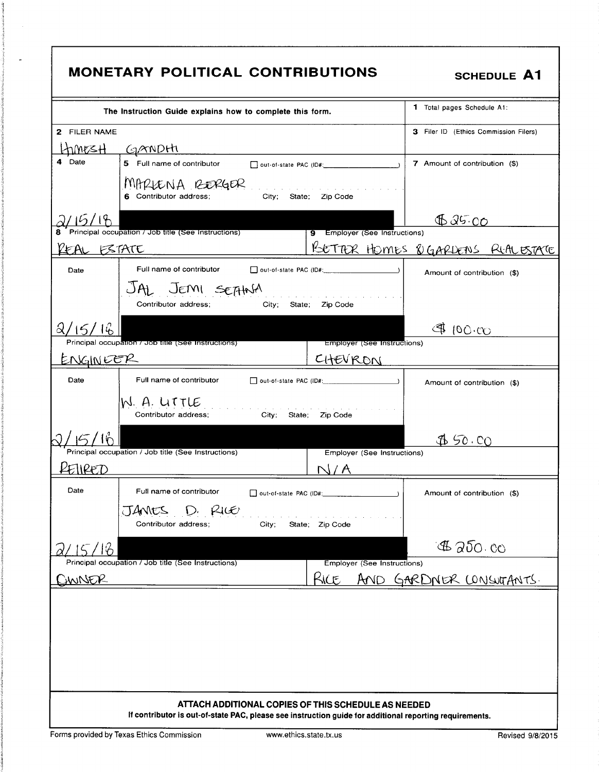| <b>MONETARY POLITICAL CONTRIBUTIONS</b><br><b>SCHEDULE A1</b>                                                                                      |                                          |  |  |  |
|----------------------------------------------------------------------------------------------------------------------------------------------------|------------------------------------------|--|--|--|
| The Instruction Guide explains how to complete this form.                                                                                          | 1 Total pages Schedule A1:               |  |  |  |
| 2 FILER NAME<br>Ltimes <del>H</del><br><u>GANDHI</u>                                                                                               | 3 Filer ID (Ethics Commission Filers)    |  |  |  |
| 4 Date<br>5 Full name of contributor                                                                                                               | 7 Amount of contribution (\$)            |  |  |  |
| MARLENA RERGER<br>a construction of the construction of the construction of the construction of<br>City; State; Zip Code<br>6 Contributor address; |                                          |  |  |  |
| Principal occupation / Job title (See Instructions)<br>9 Employer (See Instructions)                                                               | 0.25.00                                  |  |  |  |
| ESTATE<br>KEAL                                                                                                                                     | <u>PUETTER HOMES OGARDENS RIALESTATE</u> |  |  |  |
| Full name of contributor<br>$\Box$ out-of-state PAC (ID#: $\Box$ )<br>Date                                                                         | Amount of contribution (\$)              |  |  |  |
| JAL JEMI SEFHNA<br>the company of the company of the company<br>Contributor address:<br>City;<br>Zip Code<br>State:                                |                                          |  |  |  |
| 2/15/16                                                                                                                                            | $(00 \cdot C)$                           |  |  |  |
| Principal occupation / Job title (See Instructions)<br>Employer (See Instructions)<br><u>ENGINEER</u><br><u>CHEVRON</u>                            |                                          |  |  |  |
| Date<br>Full name of contributor<br>$\Box$ out-of-state PAC (ID#: $\Box$                                                                           | Amount of contribution (\$)              |  |  |  |
| N. A. LITTLE<br>and a strategic and<br>Contributor address:<br>City;<br>State;<br>Zip Code                                                         |                                          |  |  |  |
| Principal occupation / Job title (See Instructions)<br>Employer (See Instructions)                                                                 | 450.00                                   |  |  |  |
| lIREZD                                                                                                                                             |                                          |  |  |  |
| Date<br>Full name of contributor<br>out-of-state PAC (ID#:                                                                                         | Amount of contribution (\$)              |  |  |  |
| <b>JANES</b><br>RICO<br>Contributor address;<br>City;<br>State; Zip Code                                                                           |                                          |  |  |  |
| ျပ                                                                                                                                                 | $A$ 250.00                               |  |  |  |
| Principal occupation / Job title (See Instructions)<br>Employer (See Instructions)<br>Kice<br>AND.<br><u>JWNER</u>                                 | GARDNER CONSUTANTS.                      |  |  |  |
| ATTACH ADDITIONAL COPIES OF THIS SCHEDULE AS NEEDED                                                                                                |                                          |  |  |  |
| If contributor is out-of-state PAC, please see instruction guide for additional reporting requirements.                                            |                                          |  |  |  |

 $\mathcal{L}$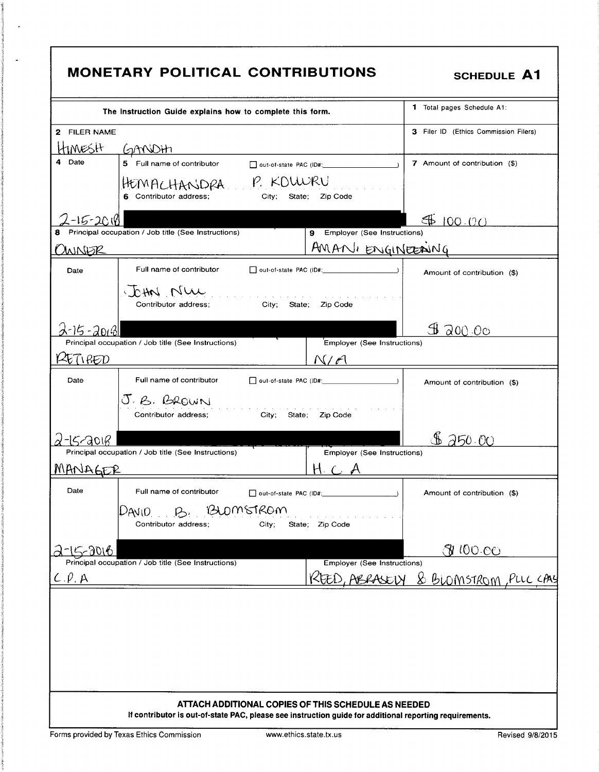| <b>MONETARY POLITICAL CONTRIBUTIONS</b><br><b>SCHEDULE A1</b>                                                                                                       |                                       |  |  |  |
|---------------------------------------------------------------------------------------------------------------------------------------------------------------------|---------------------------------------|--|--|--|
| The Instruction Guide explains how to complete this form.                                                                                                           | <b>1</b> Total pages Schedule A1:     |  |  |  |
| 2 FILER NAME<br>HIMESH.                                                                                                                                             | 3 Filer ID (Ethics Commission Filers) |  |  |  |
| <u>GANDHI</u><br>Date<br>5 Full name of contributor<br>□ out-of-state PAC (ID#: 2000)<br>HEMACHANDRA P. KOWRU<br>6 Contributor address:<br>State; Zip Code<br>City; | 7 Amount of contribution (\$)         |  |  |  |
| $-15 - 2010$<br>9 Employer (See Instructions)<br>Principal occupation / Job title (See Instructions)<br>AMANI ENGINEENING<br>WNER                                   | 400.00                                |  |  |  |
| Full name of contributor<br>Date<br>Jetter Nur<br>and the company of the company of the company of the<br>Contributor address:<br>City; State;<br>Zip Code          | Amount of contribution (\$)           |  |  |  |
| 2-15-20131<br>Employer (See Instructions)<br>Principal occupation / Job title (See Instructions)<br>ETI RED<br>N/A                                                  | \$ 200.00                             |  |  |  |
| Date<br>Full name of contributor<br>J.B. BROWN<br>Contributor address;<br>City; State;<br>Zip Code                                                                  | Amount of contribution (\$)           |  |  |  |
| 5,2018<br>Principal occupation / Job title (See Instructions)<br>Employer (See Instructions)<br>MANAGER                                                             | 250.00                                |  |  |  |
| Date<br>Full name of contributor<br>out-of-state PAC (ID#:<br>'BLOMSTROM<br>DAVIO<br>$\mathcal{P}$ .<br>Contributor address;<br>State; Zip Code<br>City;            | Amount of contribution (\$)           |  |  |  |
| 15-2016<br><b>Employer (See Instructions)</b><br>Principal occupation / Job title (See Instructions)                                                                | <u> 31 100 00</u>                     |  |  |  |
| $C.\rho$ , $A$                                                                                                                                                      | <u>&amp; BLOMSTROM, PLLCCAL</u>       |  |  |  |
|                                                                                                                                                                     |                                       |  |  |  |
| ATTACH ADDITIONAL COPIES OF THIS SCHEDULE AS NEEDED<br>If contributor is out-of-state PAC, please see instruction guide for additional reporting requirements.      |                                       |  |  |  |

Forms provided by Texas Ethics Commission

 $\hat{\boldsymbol{\beta}}$ 

 $\bar{\mathbf{z}}$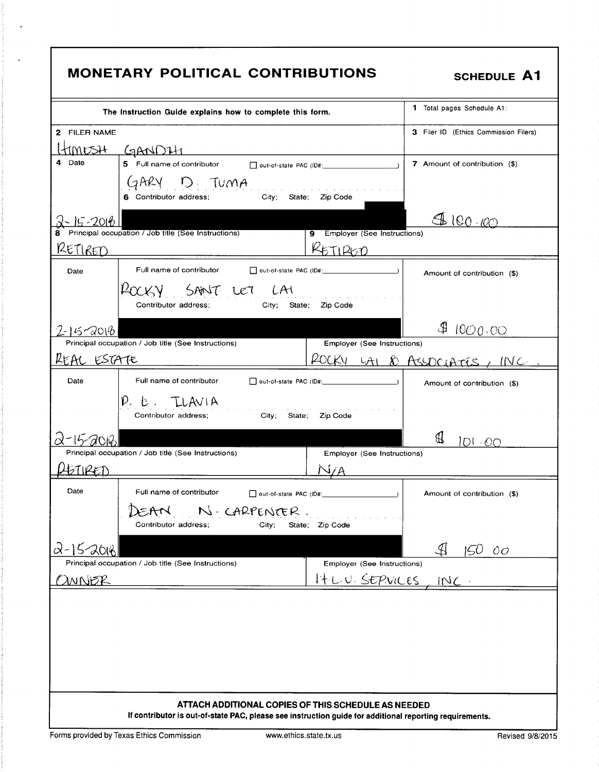| <b>1</b> Total pages Schedule A1:<br>The instruction Guide explains how to complete this form.<br>2 FILER NAME<br>timesh<br><u>GANDIH</u><br>4 Date<br>5 Full name of contributor and out-of-state PAC (ID#: __________________________<br>7 Amount of contribution (\$)<br>GARY D. TUMA<br>Contributor address: City; State; Zip Code<br>6 Contributor address;<br>4100.000<br>$-15 - 2016$<br>Principal occupation / Job title (See Instructions)<br>9 Employer (See Instructions)<br><u>RETIRED</u><br>TIRKTO<br>Full name of contributor<br>Date<br>Amount of contribution (\$)<br>POCKY SANT LET LAI<br>الأراب المتناول والمتناول والمتناول<br>Contributor address;<br>City; State; Zip Code<br>∯<br>1000.00<br>2-15-2016<br>Principal occupation / Job title (See Instructions)<br>Employer (See Instructions)<br>REAC ESTATE<br>ROCKY LAI & ASSOCIATES, INC.<br>Full name of contributor<br>Date<br>Amount of contribution (\$)<br>$P.E.$ TLAVIA<br>and a state of the<br>Contributor address:<br>City;<br>State:<br>Zip Code<br>IDI -00<br>Principal occupation / Job title (See Instructions)<br><b>Employer (See Instructions)</b><br>FTIRFJ<br>Date<br>Full name of contributor<br>out-of-state PAC (ID#:<br>Amount of contribution (\$)<br>DEAN N. CARPENTER.<br>Contributor address;<br>State; Zip Code<br>City;<br>$2 - 15 - 2016$<br>150<br>$\overline{O}O$<br>Principal occupation / Job title (See Instructions)<br>Employer (See Instructions)<br>It L.U. SERVICES<br><u> 2MNER</u><br>$INC$ .<br>ATTACH ADDITIONAL COPIES OF THIS SCHEDULE AS NEEDED<br>If contributor is out-of-state PAC, please see instruction guide for additional reporting requirements. | <b>MONETARY POLITICAL CONTRIBUTIONS</b> | <b>SCHEDULE A1</b>                    |
|------------------------------------------------------------------------------------------------------------------------------------------------------------------------------------------------------------------------------------------------------------------------------------------------------------------------------------------------------------------------------------------------------------------------------------------------------------------------------------------------------------------------------------------------------------------------------------------------------------------------------------------------------------------------------------------------------------------------------------------------------------------------------------------------------------------------------------------------------------------------------------------------------------------------------------------------------------------------------------------------------------------------------------------------------------------------------------------------------------------------------------------------------------------------------------------------------------------------------------------------------------------------------------------------------------------------------------------------------------------------------------------------------------------------------------------------------------------------------------------------------------------------------------------------------------------------------------------------------------------------------------------------------------------------------------|-----------------------------------------|---------------------------------------|
|                                                                                                                                                                                                                                                                                                                                                                                                                                                                                                                                                                                                                                                                                                                                                                                                                                                                                                                                                                                                                                                                                                                                                                                                                                                                                                                                                                                                                                                                                                                                                                                                                                                                                    |                                         |                                       |
|                                                                                                                                                                                                                                                                                                                                                                                                                                                                                                                                                                                                                                                                                                                                                                                                                                                                                                                                                                                                                                                                                                                                                                                                                                                                                                                                                                                                                                                                                                                                                                                                                                                                                    |                                         | 3 Filer ID (Ethics Commission Filers) |
|                                                                                                                                                                                                                                                                                                                                                                                                                                                                                                                                                                                                                                                                                                                                                                                                                                                                                                                                                                                                                                                                                                                                                                                                                                                                                                                                                                                                                                                                                                                                                                                                                                                                                    |                                         |                                       |
|                                                                                                                                                                                                                                                                                                                                                                                                                                                                                                                                                                                                                                                                                                                                                                                                                                                                                                                                                                                                                                                                                                                                                                                                                                                                                                                                                                                                                                                                                                                                                                                                                                                                                    |                                         |                                       |
|                                                                                                                                                                                                                                                                                                                                                                                                                                                                                                                                                                                                                                                                                                                                                                                                                                                                                                                                                                                                                                                                                                                                                                                                                                                                                                                                                                                                                                                                                                                                                                                                                                                                                    |                                         |                                       |
|                                                                                                                                                                                                                                                                                                                                                                                                                                                                                                                                                                                                                                                                                                                                                                                                                                                                                                                                                                                                                                                                                                                                                                                                                                                                                                                                                                                                                                                                                                                                                                                                                                                                                    |                                         |                                       |
|                                                                                                                                                                                                                                                                                                                                                                                                                                                                                                                                                                                                                                                                                                                                                                                                                                                                                                                                                                                                                                                                                                                                                                                                                                                                                                                                                                                                                                                                                                                                                                                                                                                                                    |                                         |                                       |
|                                                                                                                                                                                                                                                                                                                                                                                                                                                                                                                                                                                                                                                                                                                                                                                                                                                                                                                                                                                                                                                                                                                                                                                                                                                                                                                                                                                                                                                                                                                                                                                                                                                                                    |                                         |                                       |
|                                                                                                                                                                                                                                                                                                                                                                                                                                                                                                                                                                                                                                                                                                                                                                                                                                                                                                                                                                                                                                                                                                                                                                                                                                                                                                                                                                                                                                                                                                                                                                                                                                                                                    |                                         |                                       |
|                                                                                                                                                                                                                                                                                                                                                                                                                                                                                                                                                                                                                                                                                                                                                                                                                                                                                                                                                                                                                                                                                                                                                                                                                                                                                                                                                                                                                                                                                                                                                                                                                                                                                    |                                         |                                       |
|                                                                                                                                                                                                                                                                                                                                                                                                                                                                                                                                                                                                                                                                                                                                                                                                                                                                                                                                                                                                                                                                                                                                                                                                                                                                                                                                                                                                                                                                                                                                                                                                                                                                                    |                                         |                                       |
|                                                                                                                                                                                                                                                                                                                                                                                                                                                                                                                                                                                                                                                                                                                                                                                                                                                                                                                                                                                                                                                                                                                                                                                                                                                                                                                                                                                                                                                                                                                                                                                                                                                                                    |                                         |                                       |
|                                                                                                                                                                                                                                                                                                                                                                                                                                                                                                                                                                                                                                                                                                                                                                                                                                                                                                                                                                                                                                                                                                                                                                                                                                                                                                                                                                                                                                                                                                                                                                                                                                                                                    |                                         |                                       |
|                                                                                                                                                                                                                                                                                                                                                                                                                                                                                                                                                                                                                                                                                                                                                                                                                                                                                                                                                                                                                                                                                                                                                                                                                                                                                                                                                                                                                                                                                                                                                                                                                                                                                    |                                         |                                       |
|                                                                                                                                                                                                                                                                                                                                                                                                                                                                                                                                                                                                                                                                                                                                                                                                                                                                                                                                                                                                                                                                                                                                                                                                                                                                                                                                                                                                                                                                                                                                                                                                                                                                                    |                                         |                                       |
|                                                                                                                                                                                                                                                                                                                                                                                                                                                                                                                                                                                                                                                                                                                                                                                                                                                                                                                                                                                                                                                                                                                                                                                                                                                                                                                                                                                                                                                                                                                                                                                                                                                                                    |                                         |                                       |
|                                                                                                                                                                                                                                                                                                                                                                                                                                                                                                                                                                                                                                                                                                                                                                                                                                                                                                                                                                                                                                                                                                                                                                                                                                                                                                                                                                                                                                                                                                                                                                                                                                                                                    |                                         |                                       |
|                                                                                                                                                                                                                                                                                                                                                                                                                                                                                                                                                                                                                                                                                                                                                                                                                                                                                                                                                                                                                                                                                                                                                                                                                                                                                                                                                                                                                                                                                                                                                                                                                                                                                    |                                         |                                       |
|                                                                                                                                                                                                                                                                                                                                                                                                                                                                                                                                                                                                                                                                                                                                                                                                                                                                                                                                                                                                                                                                                                                                                                                                                                                                                                                                                                                                                                                                                                                                                                                                                                                                                    |                                         |                                       |
|                                                                                                                                                                                                                                                                                                                                                                                                                                                                                                                                                                                                                                                                                                                                                                                                                                                                                                                                                                                                                                                                                                                                                                                                                                                                                                                                                                                                                                                                                                                                                                                                                                                                                    |                                         |                                       |
|                                                                                                                                                                                                                                                                                                                                                                                                                                                                                                                                                                                                                                                                                                                                                                                                                                                                                                                                                                                                                                                                                                                                                                                                                                                                                                                                                                                                                                                                                                                                                                                                                                                                                    |                                         |                                       |
|                                                                                                                                                                                                                                                                                                                                                                                                                                                                                                                                                                                                                                                                                                                                                                                                                                                                                                                                                                                                                                                                                                                                                                                                                                                                                                                                                                                                                                                                                                                                                                                                                                                                                    |                                         |                                       |
| Forms provided by Texas Ethics Commission                                                                                                                                                                                                                                                                                                                                                                                                                                                                                                                                                                                                                                                                                                                                                                                                                                                                                                                                                                                                                                                                                                                                                                                                                                                                                                                                                                                                                                                                                                                                                                                                                                          |                                         |                                       |

 $\hat{\boldsymbol{\cdot} }$ 

 $\overline{\phantom{a}}$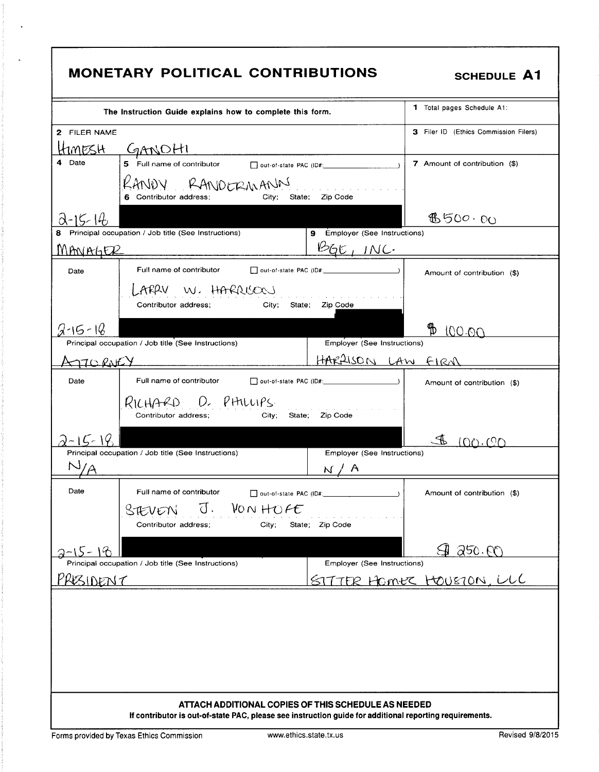|                                                                                                                                                                | <b>MONETARY POLITICAL CONTRIBUTIONS</b>                                                                                | <b>SCHEDULE A1</b>                    |  |
|----------------------------------------------------------------------------------------------------------------------------------------------------------------|------------------------------------------------------------------------------------------------------------------------|---------------------------------------|--|
|                                                                                                                                                                | The Instruction Guide explains how to complete this form.                                                              | 1 Total pages Schedule A1:            |  |
| 2 FILER NAME                                                                                                                                                   |                                                                                                                        | 3 Filer ID (Ethics Commission Filers) |  |
| HimesH.                                                                                                                                                        | GANOHI                                                                                                                 |                                       |  |
| Date                                                                                                                                                           | 5 Full name of contributor and out-of-state PAC (ID#: ___________________________                                      | 7 Amount of contribution (\$)         |  |
|                                                                                                                                                                | RANDY RANDERMANN<br>State; Zip Code<br>City:<br>6 Contributor address;                                                 |                                       |  |
| 2-15-14                                                                                                                                                        |                                                                                                                        | 6500.00                               |  |
|                                                                                                                                                                | Principal occupation / Job title (See Instructions)<br>9 Employer (See Instructions)                                   |                                       |  |
| MANAGER                                                                                                                                                        | BGE, INC.                                                                                                              |                                       |  |
| Date                                                                                                                                                           | Full name of contributor                                                                                               | Amount of contribution (\$)           |  |
|                                                                                                                                                                | LARRY W. HARRISOOJ<br>Contributor address:<br>City; State;<br>Zip Code                                                 |                                       |  |
| $2.15 - 18$                                                                                                                                                    |                                                                                                                        | Hb<br>100.00                          |  |
|                                                                                                                                                                | Employer (See Instructions)<br>Principal occupation / Job title (See Instructions)                                     |                                       |  |
| AJIORNEY                                                                                                                                                       | HARPISON LAW FIRM                                                                                                      |                                       |  |
| Date                                                                                                                                                           | Full name of contributor<br>out-of-state PAC (ID#:                                                                     | Amount of contribution (\$)           |  |
|                                                                                                                                                                | RICHARD D. PHILLIPS.<br>Contributor address;<br>State; Zip Code<br>City;                                               |                                       |  |
| $-15-19$                                                                                                                                                       |                                                                                                                        | $\mathbb{P}$<br>(0000)                |  |
|                                                                                                                                                                | Principal occupation / Job title (See Instructions)<br>Employer (See Instructions)                                     |                                       |  |
|                                                                                                                                                                | $\mathcal{A}$<br>N                                                                                                     |                                       |  |
| Date                                                                                                                                                           | Full name of contributor<br>VON HOFE<br>$\overline{d}$ .<br>STEVEN<br>State; Zip Code<br>Contributor address;<br>City; | Amount of contribution (\$)           |  |
| -15-18                                                                                                                                                         |                                                                                                                        | <u>SI 250.00</u>                      |  |
|                                                                                                                                                                | Principal occupation / Job title (See Instructions)<br>Employer (See Instructions)                                     |                                       |  |
| PRESIDENT                                                                                                                                                      |                                                                                                                        | SITTER HOMER HOUSTON, ULC             |  |
|                                                                                                                                                                |                                                                                                                        |                                       |  |
| ATTACH ADDITIONAL COPIES OF THIS SCHEDULE AS NEEDED<br>If contributor is out-of-state PAC, please see instruction guide for additional reporting requirements. |                                                                                                                        |                                       |  |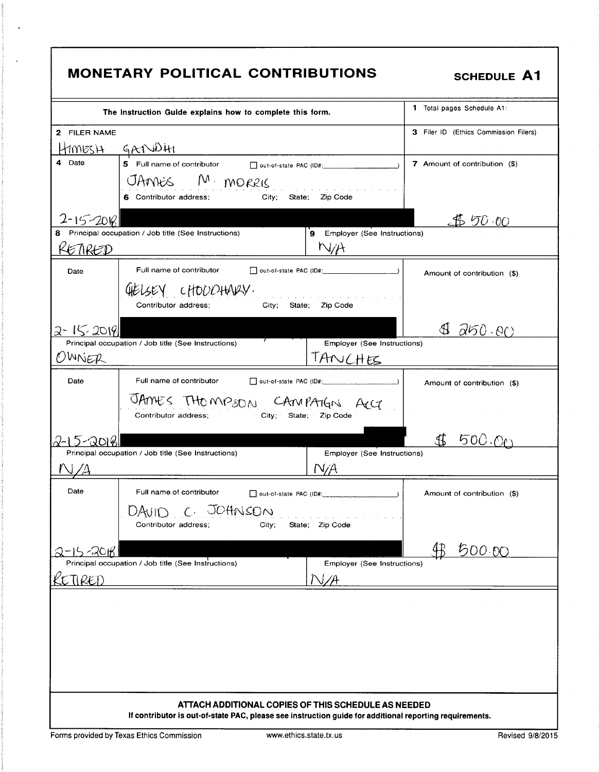|                           | <b>MONETARY POLITICAL CONTRIBUTIONS</b>                                                                                                                             | <b>SCHEDULE A1</b>                    |
|---------------------------|---------------------------------------------------------------------------------------------------------------------------------------------------------------------|---------------------------------------|
|                           | The Instruction Guide explains how to complete this form.                                                                                                           | 1 Total pages Schedule A1:            |
| 2 FILER NAME              |                                                                                                                                                                     | 3 Filer ID (Ethics Commission Filers) |
| HimesH I<br>4 Date        | GANDHI<br>5 Full name of contributor $\Box$ out-of-state PAC (ID#: _________________________)<br>JAMES M. MORRIS<br>City; State; Zip Code<br>6 Contributor address; | 7 Amount of contribution (\$)         |
| $2 - 15 - 200$<br>KETIRED | Principal occupation / Job title (See Instructions)<br>9 Employer (See Instructions)<br>N/A                                                                         | JP 50 00                              |
| Date                      | Full name of contributor<br>GIELSEY CHOUDHARY.<br>and the state of the state of the state of<br>Contributor address;<br>Zip Code<br>City; State;                    | Amount of contribution (\$)           |
| 2-15-20181<br>OWNER       | 7<br>Principal occupation / Job title (See Instructions)<br>Employer (See Instructions)<br>TANCHES                                                                  | ∯<br>$\partial 50.60$                 |
| Date                      | Full name of contributor<br>out-of-state PAC (ID#:<br>JAMES THOMPSON CAMPAIGN ACC<br>Contributor address;<br>City;<br>State; Zip Code                               | Amount of contribution (\$)           |
| 5-2016                    | Principal occupation / Job title (See Instructions)<br>Employer (See Instructions)<br>N/A                                                                           | 500.OP                                |
| Date                      | Full name of contributor<br>out-of-state PAC (ID#:<br>$C - JOHNSON$<br>DAVIN<br>Contributor address;<br>State; Zip Code<br>City;                                    | Amount of contribution (\$)           |
| <i>2</i> 2016<br>TIRED    | Principal occupation / Job title (See Instructions)<br>Employer (See Instructions)                                                                                  | 500.00                                |
|                           | ATTACH ADDITIONAL COPIES OF THIS SCHEDULE AS NEEDED<br>If contributor is out-of-state PAC, please see instruction guide for additional reporting requirements.      |                                       |

 $\ddot{\phantom{1}}$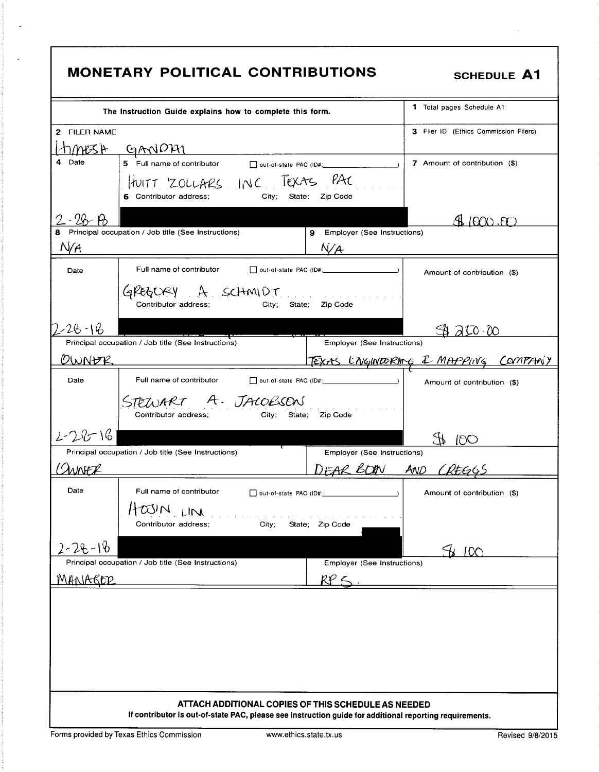|               | <b>MONETARY POLITICAL CONTRIBUTIONS</b>                                                                                                                        |                                                                                                                                                                                                                                                                                                                     | <b>SCHEDULE A1</b>                    |
|---------------|----------------------------------------------------------------------------------------------------------------------------------------------------------------|---------------------------------------------------------------------------------------------------------------------------------------------------------------------------------------------------------------------------------------------------------------------------------------------------------------------|---------------------------------------|
|               | The Instruction Guide explains how to complete this form.                                                                                                      |                                                                                                                                                                                                                                                                                                                     | 1 Total pages Schedule A1:            |
| 2 FILER NAME  |                                                                                                                                                                |                                                                                                                                                                                                                                                                                                                     | 3 Filer ID (Ethics Commission Filers) |
|               | timESA GANDAI                                                                                                                                                  |                                                                                                                                                                                                                                                                                                                     |                                       |
| 4 Date        | 5 Full name of contributor<br>out-of-state PAC (ID#:                                                                                                           | $\frac{1}{2}$ $\frac{1}{2}$ $\frac{1}{2}$ $\frac{1}{2}$ $\frac{1}{2}$ $\frac{1}{2}$ $\frac{1}{2}$ $\frac{1}{2}$ $\frac{1}{2}$ $\frac{1}{2}$ $\frac{1}{2}$ $\frac{1}{2}$ $\frac{1}{2}$ $\frac{1}{2}$ $\frac{1}{2}$ $\frac{1}{2}$ $\frac{1}{2}$ $\frac{1}{2}$ $\frac{1}{2}$ $\frac{1}{2}$ $\frac{1}{2}$ $\frac{1}{2}$ | 7 Amount of contribution (\$)         |
|               | HUITT ZOLLARS INC TEXAS PAC<br>City: State:<br>6 Contributor address;                                                                                          | Zip Code                                                                                                                                                                                                                                                                                                            |                                       |
| $96 - 19$     |                                                                                                                                                                |                                                                                                                                                                                                                                                                                                                     | N 1000 B                              |
| N/A           | Principal occupation / Job title (See Instructions)                                                                                                            | 9 Employer (See Instructions)<br>N/A                                                                                                                                                                                                                                                                                |                                       |
| Date          | Full name of contributor                                                                                                                                       | out-of-state PAC (ID#:                                                                                                                                                                                                                                                                                              | Amount of contribution (\$)           |
|               | GREGORY A SCHMIDT<br>Contributor address;<br>State;<br>City;                                                                                                   | Zip Code                                                                                                                                                                                                                                                                                                            |                                       |
| 2-26-16       |                                                                                                                                                                |                                                                                                                                                                                                                                                                                                                     | 3000                                  |
|               | Principal occupation / Job title (See Instructions)                                                                                                            | <b>Employer (See Instructions)</b>                                                                                                                                                                                                                                                                                  |                                       |
| OWNER         |                                                                                                                                                                |                                                                                                                                                                                                                                                                                                                     | TEXAS ENGINOBRING & MAPPING COMPANY   |
| Date          | Full name of contributor                                                                                                                                       |                                                                                                                                                                                                                                                                                                                     | Amount of contribution (\$)           |
|               | STEWART A. JACOBSON<br>Contributor address:                                                                                                                    | City; State; Zip Code                                                                                                                                                                                                                                                                                               |                                       |
| $2 - 28 - 16$ |                                                                                                                                                                |                                                                                                                                                                                                                                                                                                                     | 100                                   |
|               | Principal occupation / Job title (See Instructions)                                                                                                            | Employer (See Instructions)                                                                                                                                                                                                                                                                                         |                                       |
| <b>ANNFL</b>  |                                                                                                                                                                | DEAR BOON AND CREEGS                                                                                                                                                                                                                                                                                                |                                       |
| Date          | Full name of contributor                                                                                                                                       | Dout-of-state PAC (ID#: 2000)                                                                                                                                                                                                                                                                                       | Amount of contribution (\$)           |
|               | $\alpha$ VN<br>LIN                                                                                                                                             |                                                                                                                                                                                                                                                                                                                     |                                       |
|               | Contributor address;<br>City;                                                                                                                                  | State; Zip Code                                                                                                                                                                                                                                                                                                     |                                       |
| $2 - 28 - 16$ |                                                                                                                                                                |                                                                                                                                                                                                                                                                                                                     |                                       |
|               | Principal occupation / Job title (See Instructions)                                                                                                            | Employer (See Instructions)                                                                                                                                                                                                                                                                                         | SH 100                                |
| MANAROP       |                                                                                                                                                                | $RP \le$                                                                                                                                                                                                                                                                                                            |                                       |
|               |                                                                                                                                                                |                                                                                                                                                                                                                                                                                                                     |                                       |
|               |                                                                                                                                                                |                                                                                                                                                                                                                                                                                                                     |                                       |
|               |                                                                                                                                                                |                                                                                                                                                                                                                                                                                                                     |                                       |
|               |                                                                                                                                                                |                                                                                                                                                                                                                                                                                                                     |                                       |
|               |                                                                                                                                                                |                                                                                                                                                                                                                                                                                                                     |                                       |
|               |                                                                                                                                                                |                                                                                                                                                                                                                                                                                                                     |                                       |
|               | ATTACH ADDITIONAL COPIES OF THIS SCHEDULE AS NEEDED<br>If contributor is out-of-state PAC, please see instruction guide for additional reporting requirements. |                                                                                                                                                                                                                                                                                                                     |                                       |
|               |                                                                                                                                                                |                                                                                                                                                                                                                                                                                                                     |                                       |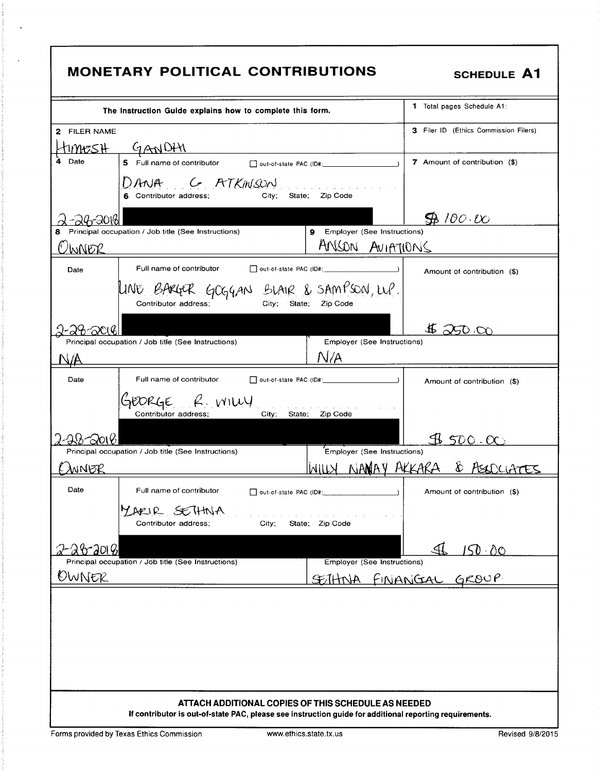|                      | <b>MONETARY POLITICAL CONTRIBUTIONS</b>                                                                                                                        | <b>SCHEDULE A1</b>                    |
|----------------------|----------------------------------------------------------------------------------------------------------------------------------------------------------------|---------------------------------------|
|                      | The Instruction Guide explains how to complete this form.                                                                                                      | 1 Total pages Schedule A1:            |
| 2 FILER NAME         |                                                                                                                                                                | 3 Filer ID (Ethics Commission Filers) |
| 1194 <del>C</del> SH | <u>GANDHI</u>                                                                                                                                                  |                                       |
| Date                 |                                                                                                                                                                | 7 Amount of contribution (\$)         |
|                      | DANA GATKINSON<br>City; State; Zip Code<br>6 Contributor address;                                                                                              |                                       |
| 14720161             |                                                                                                                                                                | $\bigoplus$ 100.00                    |
| 8                    | 9 Employer (See Instructions)<br>Principal occupation / Job title (See Instructions)                                                                           |                                       |
| WNER                 | ANSON AVIATIONS                                                                                                                                                |                                       |
| Date                 | Full name of contributor<br>out-of-state PAC (ID#:<br>$\frac{1}{1}$                                                                                            | Amount of contribution (\$)           |
|                      | LINE BARGER GOGGAN BLAIR & SAMPSON, WP.<br>City: State:<br>Zip Code<br>Contributor address;                                                                    |                                       |
|                      |                                                                                                                                                                | $\sim$ 50.00                          |
|                      | Principal occupation / Job title (See Instructions)<br>Employer (See Instructions)                                                                             |                                       |
|                      | N/A                                                                                                                                                            |                                       |
| Date                 | Full name of contributor                                                                                                                                       | Amount of contribution (\$)           |
|                      | GEORGE R. WILLY<br>Contributor address;<br>City; State;<br>Zip Code                                                                                            |                                       |
|                      |                                                                                                                                                                | 9500.00                               |
|                      | Principal occupation / Job title (See Instructions)<br><b>Employer (See Instructions)</b>                                                                      |                                       |
| MNER                 | NAMAY AKKARA                                                                                                                                                   | 8.751                                 |
| Date                 | Full name of contributor<br>out-of-state PAC (ID#:                                                                                                             | Amount of contribution (\$)           |
|                      | YARIR SETHINA<br>State; Zip Code<br>Contributor address:<br>City;                                                                                              |                                       |
| -26-20181            |                                                                                                                                                                | <u> 150 00</u>                        |
|                      | <b>Employer (See Instructions)</b><br>Principal occupation / Job title (See Instructions)                                                                      | see Instructions)<br>FINANCIAL GROUP  |
| OWNER                | SETHNA.                                                                                                                                                        |                                       |
|                      |                                                                                                                                                                |                                       |
|                      |                                                                                                                                                                |                                       |
|                      | ATTACH ADDITIONAL COPIES OF THIS SCHEDULE AS NEEDED<br>If contributor is out-of-state PAC, please see instruction guide for additional reporting requirements. |                                       |

 $\ddot{\phantom{1}}$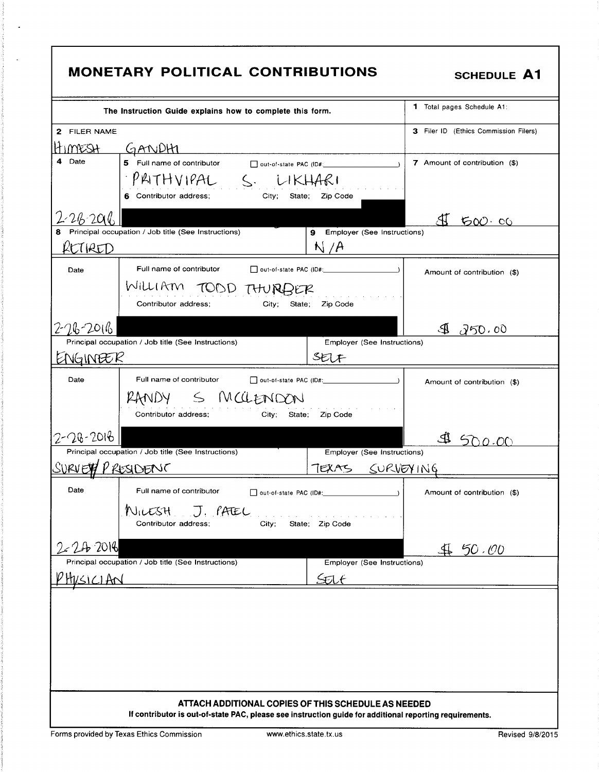| <b>MONETARY POLITICAL CONTRIBUTIONS</b><br><b>SCHEDULE A1</b> |                                                                                                                                                                |                                       |  |  |  |  |
|---------------------------------------------------------------|----------------------------------------------------------------------------------------------------------------------------------------------------------------|---------------------------------------|--|--|--|--|
|                                                               | The Instruction Guide explains how to complete this form.                                                                                                      | <b>1</b> Total pages Schedule A1:     |  |  |  |  |
| 2 FILER NAME                                                  |                                                                                                                                                                | 3 Filer ID (Ethics Commission Filers) |  |  |  |  |
| HIMESH.                                                       | <u>GANDHI</u>                                                                                                                                                  |                                       |  |  |  |  |
| 4<br>Date                                                     |                                                                                                                                                                | 7 Amount of contribution (\$)         |  |  |  |  |
|                                                               | PAITHVIPAL S. LIKHARI                                                                                                                                          |                                       |  |  |  |  |
|                                                               | 6 Contributor address;<br>City; State; Zip Code                                                                                                                |                                       |  |  |  |  |
| 226206                                                        |                                                                                                                                                                | <u>AI 500.00</u>                      |  |  |  |  |
|                                                               | Principal occupation / Job title (See Instructions)<br>9 Employer (See Instructions)                                                                           |                                       |  |  |  |  |
| LTIRED                                                        | N/A                                                                                                                                                            |                                       |  |  |  |  |
| Date                                                          | Full name of contributor<br>$\Box$ out-of-state PAC (ID#: $\Box$ )                                                                                             | Amount of contribution (\$)           |  |  |  |  |
|                                                               | WILLIAM TOOD THURBER                                                                                                                                           |                                       |  |  |  |  |
|                                                               | Contributor address:<br>City;<br>Zio Code<br>State;                                                                                                            |                                       |  |  |  |  |
| 2-26-2016                                                     |                                                                                                                                                                |                                       |  |  |  |  |
|                                                               | Principal occupation / Job title (See Instructions)<br>Employer (See Instructions)                                                                             | 9 250.00                              |  |  |  |  |
| ENGINEER                                                      | SELF                                                                                                                                                           |                                       |  |  |  |  |
| Date                                                          | Full name of contributor                                                                                                                                       | Amount of contribution (\$)           |  |  |  |  |
|                                                               | RANDY S MCCLENDON<br>Contributor address;<br>City; State;<br>Zip Code                                                                                          |                                       |  |  |  |  |
| $2 - 28 - 2016$                                               |                                                                                                                                                                |                                       |  |  |  |  |
|                                                               | Principal occupation / Job title (See Instructions)<br>Employer (See Instructions)                                                                             |                                       |  |  |  |  |
| SURVETT PRESIDENC                                             | 7EXAS                                                                                                                                                          | SURVEYING                             |  |  |  |  |
| Date                                                          | Full name of contributor                                                                                                                                       | Amount of contribution (\$)           |  |  |  |  |
|                                                               | NILESH J. PATEL<br>City;<br>Contributor address;<br>State; Zip Code                                                                                            |                                       |  |  |  |  |
| $2 - 24 - 2016$                                               |                                                                                                                                                                | <u>4650.00</u>                        |  |  |  |  |
|                                                               | Principal occupation / Job title (See Instructions)<br>Employer (See Instructions)                                                                             |                                       |  |  |  |  |
| HUSICIAN                                                      | Stilt                                                                                                                                                          |                                       |  |  |  |  |
|                                                               |                                                                                                                                                                |                                       |  |  |  |  |
|                                                               | ATTACH ADDITIONAL COPIES OF THIS SCHEDULE AS NEEDED<br>If contributor is out-of-state PAC, please see instruction guide for additional reporting requirements. |                                       |  |  |  |  |

 $\mathcal{A}$ in de la c

 $\ddot{\phantom{0}}$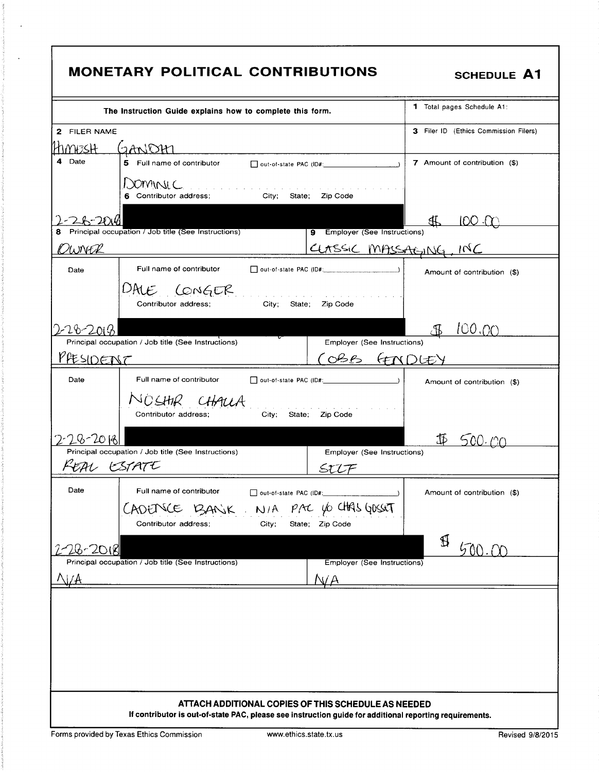| <b>MONETARY POLITICAL CONTRIBUTIONS</b>                                                                                                                           | <b>SCHEDULE A1</b>                    |
|-------------------------------------------------------------------------------------------------------------------------------------------------------------------|---------------------------------------|
| The Instruction Guide explains how to complete this form.                                                                                                         | 1 Total pages Schedule A1:            |
| 2 FILER NAME<br>7MBSH<br>GANDIM                                                                                                                                   | 3 Filer ID (Ethics Commission Filers) |
| the control of the control of the control of the control of the control of<br>Date<br>4<br>5 Full name of contributor                                             | 7 Amount of contribution (\$)         |
| JOMINIC.<br>$\mathcal{A}$ , which is a set of the set of the set of the set of the set of the $\mathcal{A}$<br>Contributor address;<br>City; State; Zip Code<br>6 |                                       |
| 9 Employer (See Instructions)<br>Principal occupation / Job title (See Instructions)                                                                              | ∰<br><u> 100 M</u>                    |
| OWNER                                                                                                                                                             | CLASSIC MASSAGING, INC                |
| Full name of contributor<br>Date                                                                                                                                  | Amount of contribution (\$)           |
| DALE CONGER<br>and the company of the company of the<br>City;<br>Contributor address;<br>State;<br>Zip Code                                                       |                                       |
| 28-2018<br>Principal occupation / Job title (See Instructions)<br>Employer (See Instructions)                                                                     | 100.00                                |
| PFESIDENT<br>COBB FINDLEY                                                                                                                                         |                                       |
| Date<br>Full name of contributor                                                                                                                                  | Amount of contribution (\$)           |
| NOSHIR CHALLA<br>City; State;<br>Zip Code<br>Contributor address;                                                                                                 |                                       |
| $-28 - 2018$<br>Principal occupation / Job title (See Instructions)                                                                                               | \$<br>500.                            |
| Employer (See Instructions)<br>ESTATE<br>EAL.<br>STIT                                                                                                             |                                       |
| Date<br>Full name of contributor<br>out-of-state PAC (ID#:<br>ADENCE BANK. NIA PAC VOCHAS GOSSET                                                                  | Amount of contribution (\$)           |
| Contributor address;<br>State; Zip Code<br>City;                                                                                                                  | \$                                    |
| 26-20181<br>Principal occupation / Job title (See Instructions)<br>Employer (See Instructions)                                                                    |                                       |
|                                                                                                                                                                   |                                       |
|                                                                                                                                                                   |                                       |
| ATTACH ADDITIONAL COPIES OF THIS SCHEDULE AS NEEDED<br>If contributor is out-of-state PAC, please see instruction guide for additional reporting requirements.    |                                       |

Forms provided by Texas Ethics Commission

 $\ddot{\phantom{a}}$ 

 $\mathbb{Z}^2$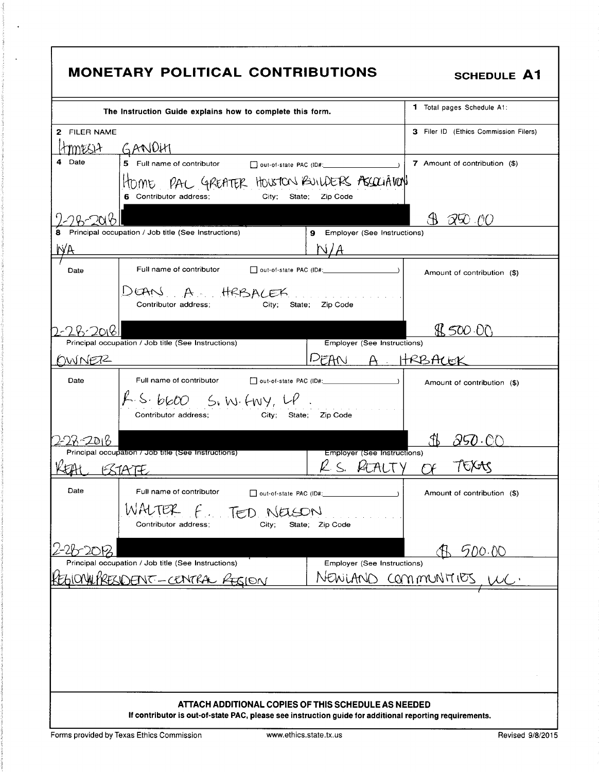| <b>1</b> Total pages Schedule A1:<br>The Instruction Guide explains how to complete this form.<br>3 Filer ID (Ethics Commission Filers)<br>2 FILER NAME<br>GANDHI<br>MMESIA 1<br>4 Date<br>7 Amount of contribution (\$)<br>HOME PAC GREATER HOUSTON BUILDERS ASSOCIATION<br>6 Contributor address;<br>City; State; Zip Code<br>97000<br>Principal occupation / Job title (See Instructions)<br>9 Employer (See Instructions)<br>N/A<br>Full name of contributor<br>Dout-of-state PAC (ID#: 2000)<br>Date<br>Amount of contribution (\$)<br>DEAN A HRBALEK<br>Contributor address:<br>Zip Code<br>State;<br>City:<br>\$\$500.00<br><b>Employer (See Instructions)</b><br>Principal occupation / Job title (See Instructions)<br>A. HRBACEK<br>OWNER2<br>DEAN<br>Date<br>Amount of contribution (\$)<br>$f$ . S. $b600$ S. W. ENY, LP.<br>City; State; Zip Code<br>Contributor address:<br>Fb<br><u> 250 OC</u><br>$-2016$<br>Principal occupation / Job title (See Instructions)<br><b>Employer (See Instructions)</b><br>K S.<br><b>STATE</b><br>Date<br>Full name of contributor<br>Amount of contribution (\$)<br>out-of-state PAC (ID#:<br>WALTER F. TED NELSON<br>Contributor address:<br>City;<br>State; Zip Code<br><u> A 500.00</u><br>Principal occupation / Job title (See Instructions)<br>Employer (See Instructions)<br>NEWLAND COMMUNITIES<br>ONWARESIDENT-CENTRAL RESION | <b>MONETARY POLITICAL CONTRIBUTIONS</b> | <b>SCHEDULE A1</b> |
|-----------------------------------------------------------------------------------------------------------------------------------------------------------------------------------------------------------------------------------------------------------------------------------------------------------------------------------------------------------------------------------------------------------------------------------------------------------------------------------------------------------------------------------------------------------------------------------------------------------------------------------------------------------------------------------------------------------------------------------------------------------------------------------------------------------------------------------------------------------------------------------------------------------------------------------------------------------------------------------------------------------------------------------------------------------------------------------------------------------------------------------------------------------------------------------------------------------------------------------------------------------------------------------------------------------------------------------------------------------------------------------------|-----------------------------------------|--------------------|
|                                                                                                                                                                                                                                                                                                                                                                                                                                                                                                                                                                                                                                                                                                                                                                                                                                                                                                                                                                                                                                                                                                                                                                                                                                                                                                                                                                                         |                                         |                    |
|                                                                                                                                                                                                                                                                                                                                                                                                                                                                                                                                                                                                                                                                                                                                                                                                                                                                                                                                                                                                                                                                                                                                                                                                                                                                                                                                                                                         |                                         |                    |
|                                                                                                                                                                                                                                                                                                                                                                                                                                                                                                                                                                                                                                                                                                                                                                                                                                                                                                                                                                                                                                                                                                                                                                                                                                                                                                                                                                                         |                                         |                    |
|                                                                                                                                                                                                                                                                                                                                                                                                                                                                                                                                                                                                                                                                                                                                                                                                                                                                                                                                                                                                                                                                                                                                                                                                                                                                                                                                                                                         |                                         |                    |
|                                                                                                                                                                                                                                                                                                                                                                                                                                                                                                                                                                                                                                                                                                                                                                                                                                                                                                                                                                                                                                                                                                                                                                                                                                                                                                                                                                                         |                                         |                    |
|                                                                                                                                                                                                                                                                                                                                                                                                                                                                                                                                                                                                                                                                                                                                                                                                                                                                                                                                                                                                                                                                                                                                                                                                                                                                                                                                                                                         |                                         |                    |
|                                                                                                                                                                                                                                                                                                                                                                                                                                                                                                                                                                                                                                                                                                                                                                                                                                                                                                                                                                                                                                                                                                                                                                                                                                                                                                                                                                                         |                                         |                    |
|                                                                                                                                                                                                                                                                                                                                                                                                                                                                                                                                                                                                                                                                                                                                                                                                                                                                                                                                                                                                                                                                                                                                                                                                                                                                                                                                                                                         |                                         |                    |
|                                                                                                                                                                                                                                                                                                                                                                                                                                                                                                                                                                                                                                                                                                                                                                                                                                                                                                                                                                                                                                                                                                                                                                                                                                                                                                                                                                                         |                                         |                    |
|                                                                                                                                                                                                                                                                                                                                                                                                                                                                                                                                                                                                                                                                                                                                                                                                                                                                                                                                                                                                                                                                                                                                                                                                                                                                                                                                                                                         |                                         |                    |
| ATTACH ADDITIONAL COPIES OF THIS SCHEDULE AS NEEDED                                                                                                                                                                                                                                                                                                                                                                                                                                                                                                                                                                                                                                                                                                                                                                                                                                                                                                                                                                                                                                                                                                                                                                                                                                                                                                                                     |                                         |                    |

 $\ddot{\phantom{a}}$ 

 $\ddot{\phantom{a}}$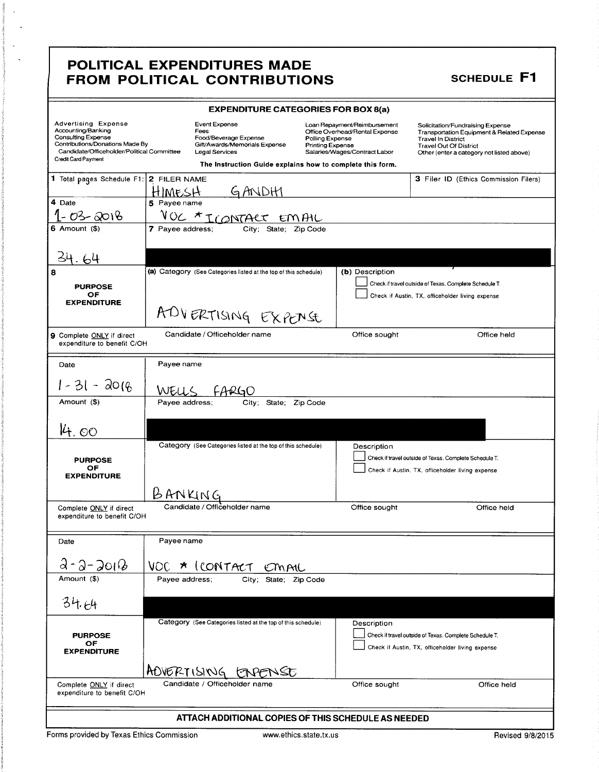#### **EXPENDITURE CATEGORIES FOR BOX 8(a)** Advertising Expense Event Expense Loan Repayment/Reimbursement Solicitation/Fundraising Expense<br>Transportation Equipment & Related Expense Accounting/Banking<br>Consulting Expense Fees<br>Food/Beverage Expense<br>Gift/Awards/Memorials Expense Office Overhead/Rental Expense Polling Expense Travel In District Contributions/Donations Made By Printing Expense<br>Salaries/Wages/Contract Labor Travel Out Of District<br>Other (enter a category not listed above) Candidate/Officeholder/Political Committee Legal Services Credit Card Payment The Instruction Guide explains how to complete this form. 1 Total pages Schedule F1: 2 FILER NAME 3 Filer ID (Ethics Commission Filers) GANDH HIMESH  $\overline{4}$  Date 5 Payee name  $1 - 03 - 2018$ <u>VOC \* ICONTACT EMAIL</u>  $6$  Amount  $(4)$ 7 Payee address; City; State; Zip Code 34.64 (a) Category (See Categories listed at the top of this schedule) (b) Description  $\Box$  Check if travel outside of Texas. Complete Schedule T. **PURPOSE**  $\Box$  Check if Austin, TX, officeholder living expense OF **EXPENDITURE** ADVERTISING EXPENSE Candidate / Officeholder name Office sought Office held 9 Complete ONLY if direct expenditure to benefit C/OH Date Payee name  $1 - 31 - 2016$ WELLS FARGO Amount (\$) Payee address; City; State; Zip Code 44.00 Category (See Categories listed at the top of this schedule) Description Check if travel outside of Texas. Complete Schedule T. **PURPOSE** OF Check if Austin, TX, officeholder living expense **EXPENDITURE** BANKING Candidate / Officeholder name Complete ONLY if direct Office sought Office held expenditure to benefit C/OH Date Payee name  $3 - 3 - 2012$ VOC \* ICONTACT EMAIL Amount (\$) Payee address; City; State; Zip Code  $34.64$ Category (See Categories listed at the top of this schedule) Description Check if travel outside of Texas. Complete Schedule T. **PURPOSE** OF  $\Box$  Check if Austin, TX, officeholder living expense **EXPENDITURE** ADVERTISING ENPENSE Candidate / Officeholder name Office held Office sought Complete ONLY if direct expenditure to benefit C/OH ATTACH ADDITIONAL COPIES OF THIS SCHEDULE AS NEEDED

Forms provided by Texas Ethics Commission

8

F F1

| <b>SCHEDUL</b> |  |  |
|----------------|--|--|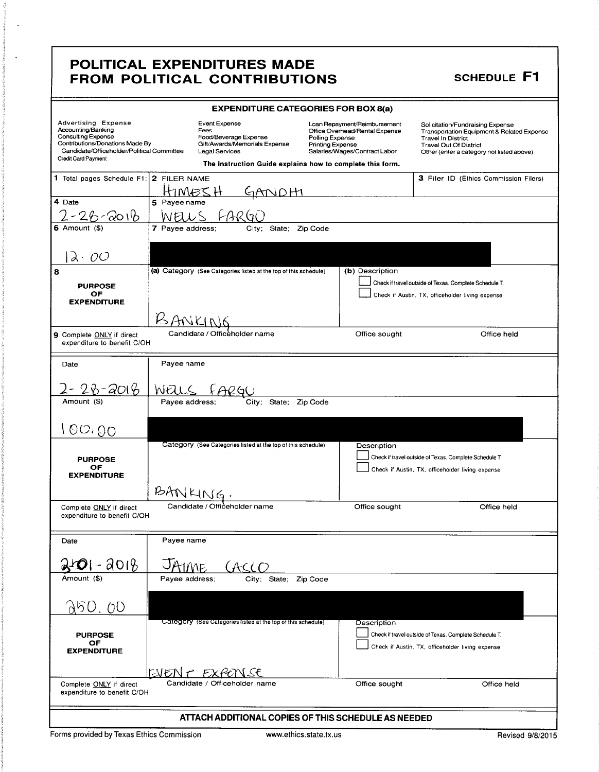| <b>EXPENDITURE CATEGORIES FOR BOX 8(a)</b>                                                                                                                                            |                                                  |                                                                  |                                                                                            |                                            |                                                                                                 |                                                                                                                                                                                           |  |
|---------------------------------------------------------------------------------------------------------------------------------------------------------------------------------------|--------------------------------------------------|------------------------------------------------------------------|--------------------------------------------------------------------------------------------|--------------------------------------------|-------------------------------------------------------------------------------------------------|-------------------------------------------------------------------------------------------------------------------------------------------------------------------------------------------|--|
| <b>Advertising Expense</b><br>Accounting/Banking<br><b>Consulting Expense</b><br>Contributions/Donations Made By<br>Candidate/Officeholder/Political Committee<br>Credit Card Payment |                                                  | Event Expense<br>Fees<br>Food/Beverage Expense<br>Legal Services | Gift/Awards/Memorials Expense<br>The Instruction Guide explains how to complete this form. | Polling Expense<br><b>Printing Expense</b> | Loan Repayment/Reimbursement<br>Office Overhead/Rental Expense<br>Salaries/Wages/Contract Labor | Solicitation/Fundraising Expense<br>Transportation Equipment & Related Expense<br><b>Travel In District</b><br><b>Travel Out Of District</b><br>Other (enter a category not listed above) |  |
| 1 Total pages Schedule F1: 2 FILER NAME                                                                                                                                               |                                                  |                                                                  |                                                                                            |                                            |                                                                                                 | 3 Filer ID (Ethics Commission Filers)                                                                                                                                                     |  |
|                                                                                                                                                                                       | HIN                                              | 135 H                                                            | GANDHI                                                                                     |                                            |                                                                                                 |                                                                                                                                                                                           |  |
| 4 Date                                                                                                                                                                                | 5 Payee name                                     |                                                                  |                                                                                            |                                            |                                                                                                 |                                                                                                                                                                                           |  |
| 90116                                                                                                                                                                                 |                                                  |                                                                  |                                                                                            |                                            |                                                                                                 |                                                                                                                                                                                           |  |
| $6$ Amount $(3)$                                                                                                                                                                      | 7 Payee address;                                 |                                                                  | State;<br>Citv:                                                                            | Zip Code                                   |                                                                                                 |                                                                                                                                                                                           |  |
| ÕΟ<br>d.                                                                                                                                                                              |                                                  |                                                                  |                                                                                            |                                            |                                                                                                 |                                                                                                                                                                                           |  |
|                                                                                                                                                                                       |                                                  |                                                                  | (a) Category (See Categories listed at the top of this schedule)                           |                                            | (b) Description                                                                                 |                                                                                                                                                                                           |  |
| <b>PURPOSE</b>                                                                                                                                                                        |                                                  |                                                                  |                                                                                            |                                            |                                                                                                 | Check if travel outside of Texas. Complete Schedule T.                                                                                                                                    |  |
| OF<br><b>EXPENDITURE</b>                                                                                                                                                              |                                                  |                                                                  |                                                                                            |                                            |                                                                                                 | Check if Austin, TX, officeholder living expense                                                                                                                                          |  |
|                                                                                                                                                                                       |                                                  |                                                                  |                                                                                            |                                            |                                                                                                 |                                                                                                                                                                                           |  |
| 9 Complete ONLY if direct                                                                                                                                                             |                                                  | Candidate / Officeholder name                                    |                                                                                            |                                            | Office sought                                                                                   | Office held                                                                                                                                                                               |  |
| expenditure to benefit C/OH                                                                                                                                                           |                                                  |                                                                  |                                                                                            |                                            |                                                                                                 |                                                                                                                                                                                           |  |
| Date                                                                                                                                                                                  | Payee name                                       |                                                                  |                                                                                            |                                            |                                                                                                 |                                                                                                                                                                                           |  |
|                                                                                                                                                                                       |                                                  |                                                                  |                                                                                            |                                            |                                                                                                 |                                                                                                                                                                                           |  |
| 2014                                                                                                                                                                                  | WEL                                              |                                                                  |                                                                                            |                                            |                                                                                                 |                                                                                                                                                                                           |  |
| Amount (\$)                                                                                                                                                                           | Payee address:                                   |                                                                  | City:<br>State;                                                                            | Zip Code                                   |                                                                                                 |                                                                                                                                                                                           |  |
|                                                                                                                                                                                       |                                                  |                                                                  |                                                                                            |                                            |                                                                                                 |                                                                                                                                                                                           |  |
| 100,00                                                                                                                                                                                |                                                  |                                                                  |                                                                                            |                                            |                                                                                                 |                                                                                                                                                                                           |  |
|                                                                                                                                                                                       |                                                  |                                                                  | Category (See Categories listed at the top of this schedule)                               |                                            | Description                                                                                     |                                                                                                                                                                                           |  |
| <b>PURPOSE</b>                                                                                                                                                                        |                                                  |                                                                  |                                                                                            |                                            |                                                                                                 | Check if travel outside of Texas. Complete Schedule T.                                                                                                                                    |  |
| OF.<br><b>EXPENDITURE</b>                                                                                                                                                             | Check if Austin, TX, officeholder living expense |                                                                  |                                                                                            |                                            |                                                                                                 |                                                                                                                                                                                           |  |
|                                                                                                                                                                                       | BANKING                                          |                                                                  |                                                                                            |                                            |                                                                                                 |                                                                                                                                                                                           |  |
| Complete <b>ONLY</b> if direct                                                                                                                                                        |                                                  | Candidate / Officeholder name                                    |                                                                                            |                                            | Office sought                                                                                   | Office held                                                                                                                                                                               |  |
| expenditure to benefit C/OH                                                                                                                                                           |                                                  |                                                                  |                                                                                            |                                            |                                                                                                 |                                                                                                                                                                                           |  |
|                                                                                                                                                                                       |                                                  |                                                                  |                                                                                            |                                            |                                                                                                 |                                                                                                                                                                                           |  |
| Date                                                                                                                                                                                  | Payee name                                       |                                                                  |                                                                                            |                                            |                                                                                                 |                                                                                                                                                                                           |  |
| $301 - 2018$                                                                                                                                                                          |                                                  |                                                                  | ACCO                                                                                       |                                            |                                                                                                 |                                                                                                                                                                                           |  |
| Amount (\$)                                                                                                                                                                           | Payee address;                                   |                                                                  | City: State: Zip Code                                                                      |                                            |                                                                                                 |                                                                                                                                                                                           |  |
|                                                                                                                                                                                       |                                                  |                                                                  |                                                                                            |                                            |                                                                                                 |                                                                                                                                                                                           |  |
| A50. 00                                                                                                                                                                               |                                                  |                                                                  |                                                                                            |                                            |                                                                                                 |                                                                                                                                                                                           |  |
|                                                                                                                                                                                       |                                                  |                                                                  | Category (See Categories listed at the top of this schedule)                               |                                            | Description                                                                                     |                                                                                                                                                                                           |  |
| <b>PURPOSE</b><br>OF                                                                                                                                                                  |                                                  |                                                                  |                                                                                            |                                            |                                                                                                 | Check if travel outside of Texas. Complete Schedule T.                                                                                                                                    |  |
| <b>EXPENDITURE</b>                                                                                                                                                                    |                                                  |                                                                  |                                                                                            |                                            |                                                                                                 | Check if Austin, TX, officeholder living expense                                                                                                                                          |  |
|                                                                                                                                                                                       |                                                  |                                                                  |                                                                                            |                                            |                                                                                                 |                                                                                                                                                                                           |  |
| Complete ONLY if direct                                                                                                                                                               | EVENT EXPENSE                                    |                                                                  | Candidate / Officeholder name                                                              |                                            | Office sought                                                                                   | Office held                                                                                                                                                                               |  |
| expenditure to benefit C/OH                                                                                                                                                           |                                                  |                                                                  |                                                                                            |                                            |                                                                                                 |                                                                                                                                                                                           |  |
|                                                                                                                                                                                       |                                                  |                                                                  |                                                                                            |                                            | ATTACH ADDITIONAL COPIES OF THIS SCHEDULE AS NEEDED                                             |                                                                                                                                                                                           |  |

**SCHEDULE F1**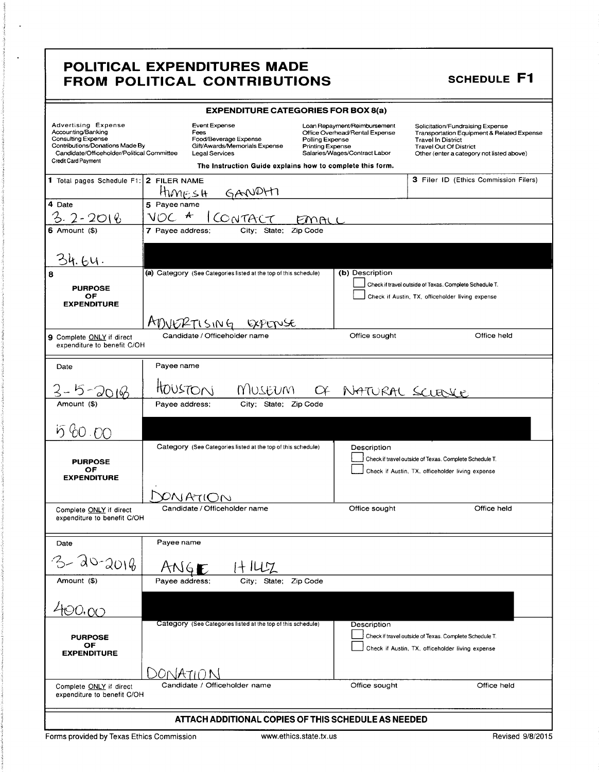**SCHEDULE F1** 

| <b>EXPENDITURE CATEGORIES FOR BOX 8(a)</b>                                                                                                                                            |                                                       |                                                                  |                                            |                                                                                                 |                                                                                                                                                                                                      |  |
|---------------------------------------------------------------------------------------------------------------------------------------------------------------------------------------|-------------------------------------------------------|------------------------------------------------------------------|--------------------------------------------|-------------------------------------------------------------------------------------------------|------------------------------------------------------------------------------------------------------------------------------------------------------------------------------------------------------|--|
| <b>Advertising Expense</b><br>Accounting/Banking<br><b>Consulting Expense</b><br>Contributions/Donations Made By<br>Candidate/Officeholder/Political Committee<br>Credit Card Payment | <b>Event Expense</b><br>Fees<br><b>Legal Services</b> | Food/Beverage Expense<br>Gift/Awards/Memorials Expense           | Polling Expense<br><b>Printing Expense</b> | Loan Repayment/Reimbursement<br>Office Overhead/Rental Expense<br>Salaries/Wages/Contract Labor | Solicitation/Fundraising Expense<br><b>Transportation Equipment &amp; Related Expense</b><br><b>Travel In District</b><br><b>Travel Out Of District</b><br>Other (enter a category not listed above) |  |
|                                                                                                                                                                                       |                                                       | The Instruction Guide explains how to complete this form.        |                                            |                                                                                                 |                                                                                                                                                                                                      |  |
| 1 Total pages Schedule F1: 2 FILER NAME                                                                                                                                               |                                                       | HIMESH GANDHT                                                    |                                            |                                                                                                 | 3 Filer ID (Ethics Commission Filers)                                                                                                                                                                |  |
| 4 Date                                                                                                                                                                                | 5 Payee name                                          |                                                                  |                                            |                                                                                                 |                                                                                                                                                                                                      |  |
| 3.2-2018                                                                                                                                                                              | $\ast$<br>NOC                                         | CONTACT                                                          |                                            |                                                                                                 |                                                                                                                                                                                                      |  |
| 6 Amount (\$)                                                                                                                                                                         | 7 Payee address;                                      | City: State: Zip Code                                            |                                            |                                                                                                 |                                                                                                                                                                                                      |  |
| .64.                                                                                                                                                                                  |                                                       |                                                                  |                                            |                                                                                                 |                                                                                                                                                                                                      |  |
| 8                                                                                                                                                                                     |                                                       | (a) Category (See Categories listed at the top of this schedule) |                                            | (b) Description                                                                                 |                                                                                                                                                                                                      |  |
| <b>PURPOSE</b>                                                                                                                                                                        |                                                       |                                                                  |                                            |                                                                                                 | Check if travel outside of Texas. Complete Schedule T.                                                                                                                                               |  |
| OF<br><b>EXPENDITURE</b>                                                                                                                                                              |                                                       |                                                                  |                                            |                                                                                                 | Check if Austin, TX, officeholder living expense                                                                                                                                                     |  |
|                                                                                                                                                                                       | ADUERTISING                                           |                                                                  |                                            |                                                                                                 |                                                                                                                                                                                                      |  |
| 9 Complete ONLY if direct<br>expenditure to benefit C/OH                                                                                                                              | Candidate / Officeholder name                         |                                                                  |                                            | Office sought                                                                                   | Office held                                                                                                                                                                                          |  |
| Date                                                                                                                                                                                  | Payee name                                            |                                                                  |                                            |                                                                                                 |                                                                                                                                                                                                      |  |
|                                                                                                                                                                                       | HOUSTON                                               | MUSEUM                                                           |                                            | OF NATURAL SCLENCE                                                                              |                                                                                                                                                                                                      |  |
| Amount (\$)                                                                                                                                                                           | Payee address;                                        | City; State; Zip Code                                            |                                            |                                                                                                 |                                                                                                                                                                                                      |  |
| 58000                                                                                                                                                                                 |                                                       |                                                                  |                                            |                                                                                                 |                                                                                                                                                                                                      |  |
|                                                                                                                                                                                       |                                                       | Category (See Categories listed at the top of this schedule)     |                                            | Description                                                                                     |                                                                                                                                                                                                      |  |
| <b>PURPOSE</b>                                                                                                                                                                        |                                                       |                                                                  |                                            |                                                                                                 | Check if travel outside of Texas. Complete Schedule T.                                                                                                                                               |  |
| ОF<br><b>EXPENDITURE</b>                                                                                                                                                              | Check if Austin, TX, officeholder living expense      |                                                                  |                                            |                                                                                                 |                                                                                                                                                                                                      |  |
|                                                                                                                                                                                       |                                                       |                                                                  |                                            |                                                                                                 |                                                                                                                                                                                                      |  |
| Complete ONLY if direct                                                                                                                                                               | Candidate / Officeholder name                         |                                                                  |                                            | Office sought                                                                                   | Office held                                                                                                                                                                                          |  |
| expenditure to benefit C/OH                                                                                                                                                           |                                                       |                                                                  |                                            |                                                                                                 |                                                                                                                                                                                                      |  |
| Date                                                                                                                                                                                  | Payee name                                            |                                                                  |                                            |                                                                                                 |                                                                                                                                                                                                      |  |
| 3-20-2016                                                                                                                                                                             |                                                       |                                                                  |                                            |                                                                                                 |                                                                                                                                                                                                      |  |
| Amount (\$)                                                                                                                                                                           | Payee address;                                        | City; State; Zip Code                                            |                                            |                                                                                                 |                                                                                                                                                                                                      |  |
|                                                                                                                                                                                       |                                                       |                                                                  |                                            |                                                                                                 |                                                                                                                                                                                                      |  |
| 400,00                                                                                                                                                                                |                                                       |                                                                  |                                            |                                                                                                 |                                                                                                                                                                                                      |  |
|                                                                                                                                                                                       |                                                       | Category (See Categories listed at the top of this schedule)     |                                            | Description                                                                                     |                                                                                                                                                                                                      |  |
| <b>PURPOSE</b><br>OF                                                                                                                                                                  |                                                       |                                                                  |                                            |                                                                                                 | Check if travel outside of Texas. Complete Schedule T.                                                                                                                                               |  |
| <b>EXPENDITURE</b>                                                                                                                                                                    |                                                       |                                                                  |                                            |                                                                                                 | Check if Austin, TX, officeholder living expense                                                                                                                                                     |  |
|                                                                                                                                                                                       | ATUIN                                                 |                                                                  |                                            |                                                                                                 |                                                                                                                                                                                                      |  |
| Complete ONLY if direct                                                                                                                                                               | Candidate / Officeholder name                         |                                                                  |                                            | Office sought                                                                                   | Office held                                                                                                                                                                                          |  |
| expenditure to benefit C/OH                                                                                                                                                           |                                                       |                                                                  |                                            |                                                                                                 |                                                                                                                                                                                                      |  |
|                                                                                                                                                                                       | ATTACH ADDITIONAL COPIES OF THIS SCHEDULE AS NEEDED   |                                                                  |                                            |                                                                                                 |                                                                                                                                                                                                      |  |
|                                                                                                                                                                                       |                                                       |                                                                  |                                            |                                                                                                 |                                                                                                                                                                                                      |  |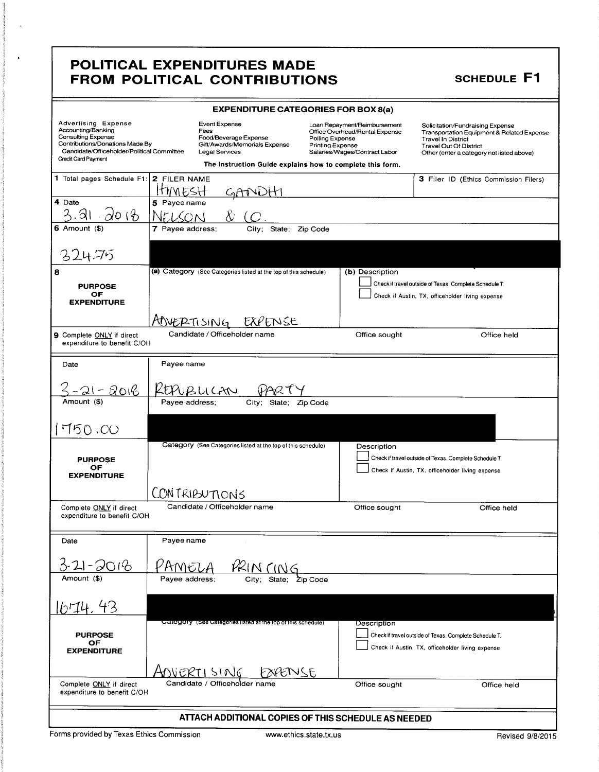#### **EXPENDITURE CATEGORIES FOR BOX 8(a)** Advertising Expense Event Expense Loan Repayment/Reimbursement Solicitation/Fundraising Expense<br>Transportation Equipment & Related Expense Accounting/Banking<br>Consulting Expense Fees<br>Food/Beverage Expense<br>Gift/Awards/Memorials Expense Office Overhead/Rental Expense Polling Expense Travel In District Contributions/Donations Made By Printing Expense<br>Salaries/Wages/Contract Labor Travel Out Of District<br>Other (enter a category not listed above) Candidate/Officeholder/Political Committee Legal Services Credit Card Payment The Instruction Guide explains how to complete this form. 1 Total pages Schedule F1: 2 FILER NAME 3 Filer ID (Ethics Commission Filers) HMESH GANDHI 4 Date 5 Payee name  $3.91 - 20.6$ NELSON 6 Amount  $(*)$ 7 Payee address; City; State; Zip Code 324.75 (a) Category (See Categories listed at the top of this schedule) (b) Description Check if travel outside of Texas. Complete Schedule T. **PURPOSE** OF<br>EXPENDITURE Check if Austin, TX, officeholder living expense AOVERTISING EXPENSE Candidate / Officeholder name 9 Complete ONLY if direct Office sought Office held expenditure to benefit C/OH Date Payee name <u> 3-21-2016</u> <u>KEPUBUCAN</u> PART Amount (\$) Payee address; City; State; Zip Code  $1750.00$ Category (See Categories listed at the top of this schedule) Description Check if travel outside of Texas. Complete Schedule T. **PURPOSE** OF  $\Box$  Check if Austin, TX, officeholder living expense **EXPENDITURE** CONTRIBUTIONS Candidate / Officeholder name Complete ONLY if direct Office sought Office held expenditure to benefit C/OH Date Payee name  $3-21 - 2018$ <u>PRINCING</u> PAMELA Amount (\$) City; State; Zip Code Payee address;  $1114.43$ Jategory (See Categories listed at the top of this schedule Description **PURPOSE**  $\Box$  Check if travel outside of Texas. Complete Schedule T. OF  $\Box$  Check if Austin, TX, officeholder living expense **EXPENDITURE** ADVERTI SING EXPENSE Candidate / Officeholder name Complete ONLY if direct Office sought Office held expenditure to benefit C/OH ATTACH ADDITIONAL COPIES OF THIS SCHEDULE AS NEEDED

Forms provided by Texas Ethics Commission

8

**SCHEDULE F1**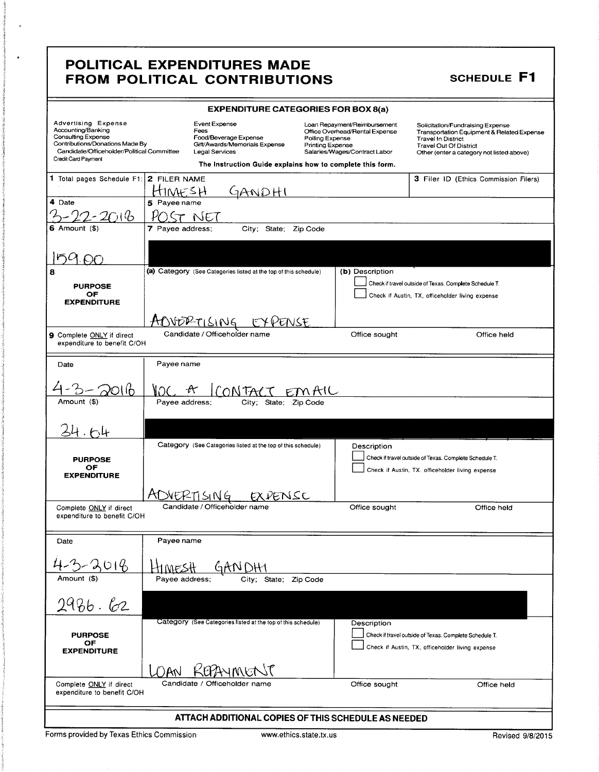# **SCHEDULE F1**

|                                                                                                                                                                                       | <b>EXPENDITURE CATEGORIES FOR BOX 8(a)</b>                                                                                                                     |                                                                                                                                        |                                                                                                                                                                                    |  |  |
|---------------------------------------------------------------------------------------------------------------------------------------------------------------------------------------|----------------------------------------------------------------------------------------------------------------------------------------------------------------|----------------------------------------------------------------------------------------------------------------------------------------|------------------------------------------------------------------------------------------------------------------------------------------------------------------------------------|--|--|
| <b>Advertising Expense</b><br>Accounting/Banking<br><b>Consulting Expense</b><br>Contributions/Donations Made By<br>Candidate/Officeholder/Political Committee<br>Credit Card Payment | Event Expense<br>Fees<br>Food/Beverage Expense<br>Gift/Awards/Memorials Expense<br>Legal Services<br>The Instruction Guide explains how to complete this form. | Loan Repayment/Reimbursement<br>Office Overhead/Rental Expense<br>Polling Expense<br>Printing Expense<br>Salaries/Wages/Contract Labor | Solicitation/Fundraising Expense<br>Transportation Equipment & Related Expense<br><b>Travel In District</b><br>Travel Out Of District<br>Other (enter a category not listed above) |  |  |
|                                                                                                                                                                                       |                                                                                                                                                                |                                                                                                                                        |                                                                                                                                                                                    |  |  |
| 1 Total pages Schedule F1: 2 FILER NAME                                                                                                                                               |                                                                                                                                                                |                                                                                                                                        | 3 Filer ID (Ethics Commission Filers)                                                                                                                                              |  |  |
| 4 Date                                                                                                                                                                                | HIMESH<br>7ANDHI<br>5 Payee name                                                                                                                               |                                                                                                                                        |                                                                                                                                                                                    |  |  |
| ういん                                                                                                                                                                                   | ST NET                                                                                                                                                         |                                                                                                                                        |                                                                                                                                                                                    |  |  |
| Amount (\$)                                                                                                                                                                           | 7 Payee address;<br>City; State; Zip Code                                                                                                                      |                                                                                                                                        |                                                                                                                                                                                    |  |  |
|                                                                                                                                                                                       |                                                                                                                                                                |                                                                                                                                        |                                                                                                                                                                                    |  |  |
|                                                                                                                                                                                       |                                                                                                                                                                |                                                                                                                                        |                                                                                                                                                                                    |  |  |
| 8                                                                                                                                                                                     | (a) Category (See Categories listed at the top of this schedule)                                                                                               | (b) Description                                                                                                                        |                                                                                                                                                                                    |  |  |
| <b>PURPOSE</b><br>ОF                                                                                                                                                                  |                                                                                                                                                                |                                                                                                                                        | Check if travel outside of Texas. Complete Schedule T.                                                                                                                             |  |  |
| <b>EXPENDITURE</b>                                                                                                                                                                    |                                                                                                                                                                |                                                                                                                                        | Check if Austin, TX, officeholder living expense                                                                                                                                   |  |  |
|                                                                                                                                                                                       |                                                                                                                                                                |                                                                                                                                        |                                                                                                                                                                                    |  |  |
|                                                                                                                                                                                       | AOVORTISING EXPENSE<br>Candidate / Officeholder name                                                                                                           | Office sought                                                                                                                          | Office held                                                                                                                                                                        |  |  |
| 9 Complete ONLY if direct<br>expenditure to benefit C/OH                                                                                                                              |                                                                                                                                                                |                                                                                                                                        |                                                                                                                                                                                    |  |  |
|                                                                                                                                                                                       |                                                                                                                                                                |                                                                                                                                        |                                                                                                                                                                                    |  |  |
| Date                                                                                                                                                                                  | Payee name                                                                                                                                                     |                                                                                                                                        |                                                                                                                                                                                    |  |  |
|                                                                                                                                                                                       |                                                                                                                                                                |                                                                                                                                        |                                                                                                                                                                                    |  |  |
|                                                                                                                                                                                       | CONTACT EMAIL                                                                                                                                                  |                                                                                                                                        |                                                                                                                                                                                    |  |  |
| Amount (\$)                                                                                                                                                                           | Payee address:<br>City;<br>State;                                                                                                                              | Zip Code                                                                                                                               |                                                                                                                                                                                    |  |  |
|                                                                                                                                                                                       |                                                                                                                                                                |                                                                                                                                        |                                                                                                                                                                                    |  |  |
|                                                                                                                                                                                       |                                                                                                                                                                |                                                                                                                                        |                                                                                                                                                                                    |  |  |
|                                                                                                                                                                                       | Category (See Categories listed at the top of this schedule)                                                                                                   | Description                                                                                                                            |                                                                                                                                                                                    |  |  |
| <b>PURPOSE</b>                                                                                                                                                                        |                                                                                                                                                                |                                                                                                                                        | Check if travel outside of Texas. Complete Schedule T.                                                                                                                             |  |  |
| ОF<br><b>EXPENDITURE</b>                                                                                                                                                              |                                                                                                                                                                |                                                                                                                                        | Check if Austin, TX. officeholder living expense                                                                                                                                   |  |  |
|                                                                                                                                                                                       |                                                                                                                                                                |                                                                                                                                        |                                                                                                                                                                                    |  |  |
|                                                                                                                                                                                       | ADVERTISING<br>EXPENSC                                                                                                                                         |                                                                                                                                        |                                                                                                                                                                                    |  |  |
| Complete ONLY if direct<br>expenditure to benefit C/OH                                                                                                                                | Candidate / Officeholder name                                                                                                                                  | Office sought                                                                                                                          | Office held                                                                                                                                                                        |  |  |
|                                                                                                                                                                                       |                                                                                                                                                                |                                                                                                                                        |                                                                                                                                                                                    |  |  |
| Date                                                                                                                                                                                  | Payee name                                                                                                                                                     |                                                                                                                                        |                                                                                                                                                                                    |  |  |
| 2018                                                                                                                                                                                  | :MESH                                                                                                                                                          |                                                                                                                                        |                                                                                                                                                                                    |  |  |
| Amount (\$)                                                                                                                                                                           | Payee address:<br>State: Zip Code<br>Citv; -                                                                                                                   |                                                                                                                                        |                                                                                                                                                                                    |  |  |
|                                                                                                                                                                                       |                                                                                                                                                                |                                                                                                                                        |                                                                                                                                                                                    |  |  |
| 2986.62                                                                                                                                                                               |                                                                                                                                                                |                                                                                                                                        |                                                                                                                                                                                    |  |  |
|                                                                                                                                                                                       | Category (See Categories listed at the top of this schedule)                                                                                                   | Description                                                                                                                            |                                                                                                                                                                                    |  |  |
| <b>PURPOSE</b>                                                                                                                                                                        |                                                                                                                                                                |                                                                                                                                        | Check if travel outside of Texas. Complete Schedule T.                                                                                                                             |  |  |
| OF<br><b>EXPENDITURE</b>                                                                                                                                                              |                                                                                                                                                                |                                                                                                                                        | Check if Austin, TX, officeholder living expense                                                                                                                                   |  |  |
|                                                                                                                                                                                       |                                                                                                                                                                |                                                                                                                                        |                                                                                                                                                                                    |  |  |
|                                                                                                                                                                                       | KEPAYMENT<br>NAN                                                                                                                                               |                                                                                                                                        |                                                                                                                                                                                    |  |  |
| Complete ONLY if direct<br>expenditure to benefit C/OH                                                                                                                                | Candidate / Officeholder name                                                                                                                                  | Office sought                                                                                                                          | Office held                                                                                                                                                                        |  |  |
| ATTACH ADDITIONAL COPIES OF THIS SCHEDULE AS NEEDED                                                                                                                                   |                                                                                                                                                                |                                                                                                                                        |                                                                                                                                                                                    |  |  |

Forms provided by Texas Ethics Commission